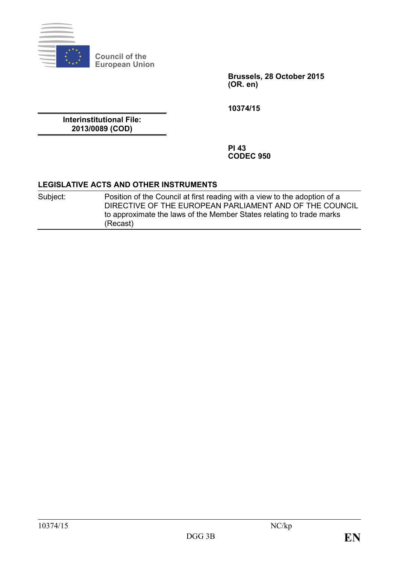

**Council of the European Union**

> **Brussels, 28 October 2015 (OR. en)**

**10374/15**

**Interinstitutional File: 2013/0089 (COD)**

> **PI 43 CODEC 950**

#### **LEGISLATIVE ACTS AND OTHER INSTRUMENTS**

| Subject: | Position of the Council at first reading with a view to the adoption of a |
|----------|---------------------------------------------------------------------------|
|          | DIRECTIVE OF THE EUROPEAN PARLIAMENT AND OF THE COUNCIL                   |
|          | to approximate the laws of the Member States relating to trade marks      |
|          | (Recast)                                                                  |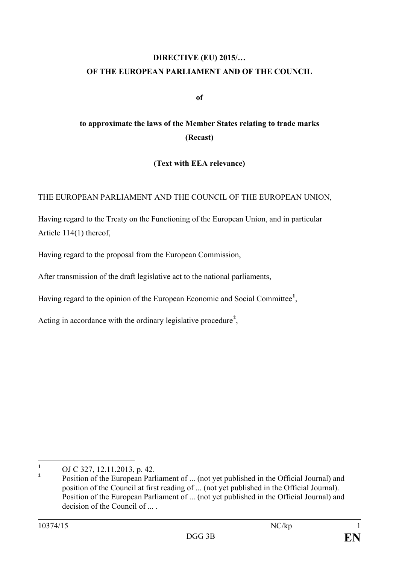## **DIRECTIVE (EU) 2015/… OF THE EUROPEAN PARLIAMENT AND OF THE COUNCIL**

**of**

# **to approximate the laws of the Member States relating to trade marks (Recast)**

## **(Text with EEA relevance)**

THE EUROPEAN PARLIAMENT AND THE COUNCIL OF THE EUROPEAN UNION,

Having regard to the Treaty on the Functioning of the European Union, and in particular Article 114(1) thereof,

Having regard to the proposal from the European Commission,

After transmission of the draft legislative act to the national parliaments,

Having regard to the opinion of the European Economic and Social Committee**[1](#page-1-0)** ,

Acting in accordance with the ordinary legislative procedure**[2](#page-1-1)** ,

<span id="page-1-0"></span><sup>&</sup>lt;sup>1</sup> OJ C 327, 12.11.2013, p. 42.

<span id="page-1-1"></span>**<sup>2</sup>** Position of the European Parliament of ... (not yet published in the Official Journal) and position of the Council at first reading of ... (not yet published in the Official Journal). Position of the European Parliament of ... (not yet published in the Official Journal) and decision of the Council of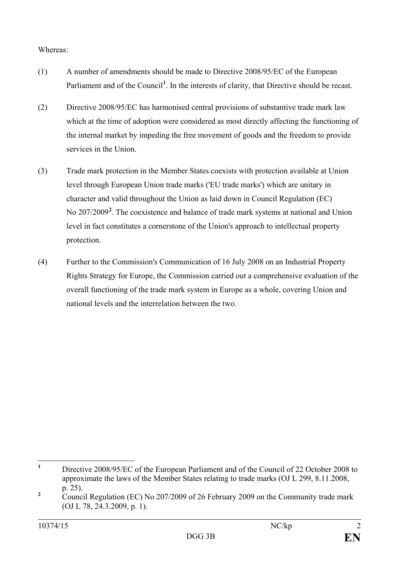Whereas:

- (1) A number of amendments should be made to Directive 2008/95/EC of the European Parliament and of the Council<sup>[1](#page-2-0)</sup>. In the interests of clarity, that Directive should be recast.
- (2) Directive 2008/95/EC has harmonised central provisions of substantive trade mark law which at the time of adoption were considered as most directly affecting the functioning of the internal market by impeding the free movement of goods and the freedom to provide services in the Union.
- (3) Trade mark protection in the Member States coexists with protection available at Union level through European Union trade marks ('EU trade marks') which are unitary in character and valid throughout the Union as laid down in Council Regulation (EC) No 207/2009**[2](#page-2-1)** . The coexistence and balance of trade mark systems at national and Union level in fact constitutes a cornerstone of the Union's approach to intellectual property protection.
- (4) Further to the Commission's Communication of 16 July 2008 on an Industrial Property Rights Strategy for Europe, the Commission carried out a comprehensive evaluation of the overall functioning of the trade mark system in Europe as a whole, covering Union and national levels and the interrelation between the two.

<span id="page-2-0"></span><sup>&</sup>lt;sup>1</sup> Directive 2008/95/EC of the European Parliament and of the Council of 22 October 2008 to approximate the laws of the Member States relating to trade marks (OJ L 299, 8.11.2008, p. 25).

<span id="page-2-1"></span><sup>&</sup>lt;sup>2</sup> Council Regulation (EC) No 207/2009 of 26 February 2009 on the Community trade mark (OJ L 78, 24.3.2009, p. 1).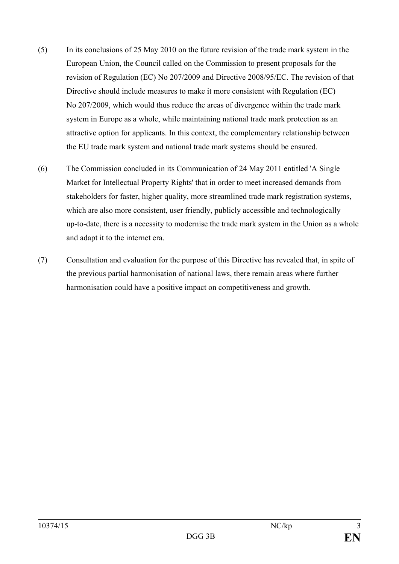- (5) In its conclusions of 25 May 2010 on the future revision of the trade mark system in the European Union, the Council called on the Commission to present proposals for the revision of Regulation (EC) No 207/2009 and Directive 2008/95/EC. The revision of that Directive should include measures to make it more consistent with Regulation (EC) No 207/2009, which would thus reduce the areas of divergence within the trade mark system in Europe as a whole, while maintaining national trade mark protection as an attractive option for applicants. In this context, the complementary relationship between the EU trade mark system and national trade mark systems should be ensured.
- (6) The Commission concluded in its Communication of 24 May 2011 entitled 'A Single Market for Intellectual Property Rights' that in order to meet increased demands from stakeholders for faster, higher quality, more streamlined trade mark registration systems, which are also more consistent, user friendly, publicly accessible and technologically up-to-date, there is a necessity to modernise the trade mark system in the Union as a whole and adapt it to the internet era.
- (7) Consultation and evaluation for the purpose of this Directive has revealed that, in spite of the previous partial harmonisation of national laws, there remain areas where further harmonisation could have a positive impact on competitiveness and growth.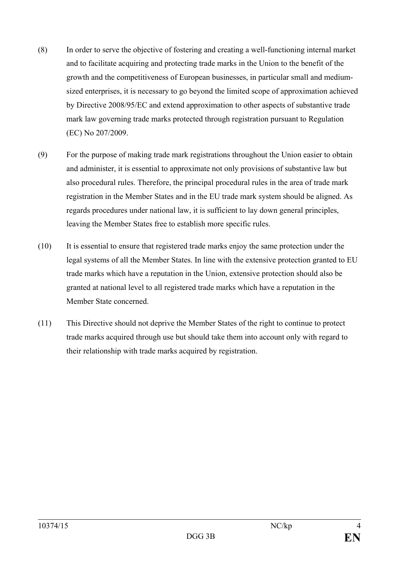- (8) In order to serve the objective of fostering and creating a well-functioning internal market and to facilitate acquiring and protecting trade marks in the Union to the benefit of the growth and the competitiveness of European businesses, in particular small and mediumsized enterprises, it is necessary to go beyond the limited scope of approximation achieved by Directive 2008/95/EC and extend approximation to other aspects of substantive trade mark law governing trade marks protected through registration pursuant to Regulation (EC) No 207/2009.
- (9) For the purpose of making trade mark registrations throughout the Union easier to obtain and administer, it is essential to approximate not only provisions of substantive law but also procedural rules. Therefore, the principal procedural rules in the area of trade mark registration in the Member States and in the EU trade mark system should be aligned. As regards procedures under national law, it is sufficient to lay down general principles, leaving the Member States free to establish more specific rules.
- (10) It is essential to ensure that registered trade marks enjoy the same protection under the legal systems of all the Member States. In line with the extensive protection granted to EU trade marks which have a reputation in the Union, extensive protection should also be granted at national level to all registered trade marks which have a reputation in the Member State concerned.
- (11) This Directive should not deprive the Member States of the right to continue to protect trade marks acquired through use but should take them into account only with regard to their relationship with trade marks acquired by registration.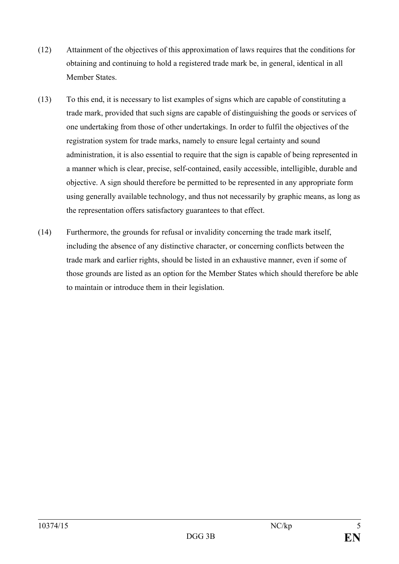- (12) Attainment of the objectives of this approximation of laws requires that the conditions for obtaining and continuing to hold a registered trade mark be, in general, identical in all Member States.
- (13) To this end, it is necessary to list examples of signs which are capable of constituting a trade mark, provided that such signs are capable of distinguishing the goods or services of one undertaking from those of other undertakings. In order to fulfil the objectives of the registration system for trade marks, namely to ensure legal certainty and sound administration, it is also essential to require that the sign is capable of being represented in a manner which is clear, precise, self-contained, easily accessible, intelligible, durable and objective. A sign should therefore be permitted to be represented in any appropriate form using generally available technology, and thus not necessarily by graphic means, as long as the representation offers satisfactory guarantees to that effect.
- (14) Furthermore, the grounds for refusal or invalidity concerning the trade mark itself, including the absence of any distinctive character, or concerning conflicts between the trade mark and earlier rights, should be listed in an exhaustive manner, even if some of those grounds are listed as an option for the Member States which should therefore be able to maintain or introduce them in their legislation.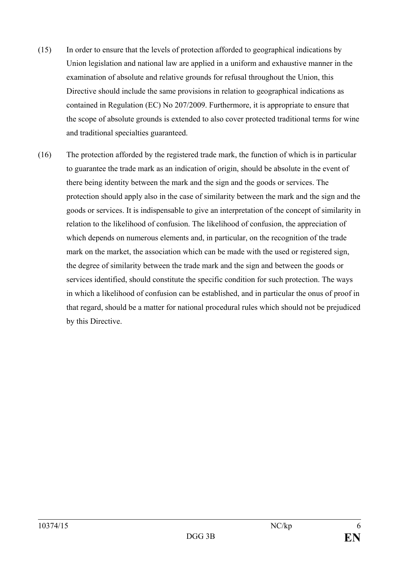- (15) In order to ensure that the levels of protection afforded to geographical indications by Union legislation and national law are applied in a uniform and exhaustive manner in the examination of absolute and relative grounds for refusal throughout the Union, this Directive should include the same provisions in relation to geographical indications as contained in Regulation (EC) No 207/2009. Furthermore, it is appropriate to ensure that the scope of absolute grounds is extended to also cover protected traditional terms for wine and traditional specialties guaranteed.
- (16) The protection afforded by the registered trade mark, the function of which is in particular to guarantee the trade mark as an indication of origin, should be absolute in the event of there being identity between the mark and the sign and the goods or services. The protection should apply also in the case of similarity between the mark and the sign and the goods or services. It is indispensable to give an interpretation of the concept of similarity in relation to the likelihood of confusion. The likelihood of confusion, the appreciation of which depends on numerous elements and, in particular, on the recognition of the trade mark on the market, the association which can be made with the used or registered sign, the degree of similarity between the trade mark and the sign and between the goods or services identified, should constitute the specific condition for such protection. The ways in which a likelihood of confusion can be established, and in particular the onus of proof in that regard, should be a matter for national procedural rules which should not be prejudiced by this Directive.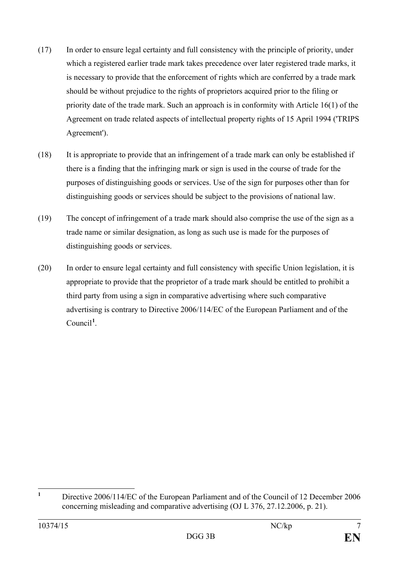- (17) In order to ensure legal certainty and full consistency with the principle of priority, under which a registered earlier trade mark takes precedence over later registered trade marks, it is necessary to provide that the enforcement of rights which are conferred by a trade mark should be without prejudice to the rights of proprietors acquired prior to the filing or priority date of the trade mark. Such an approach is in conformity with Article 16(1) of the Agreement on trade related aspects of intellectual property rights of 15 April 1994 ('TRIPS Agreement').
- (18) It is appropriate to provide that an infringement of a trade mark can only be established if there is a finding that the infringing mark or sign is used in the course of trade for the purposes of distinguishing goods or services. Use of the sign for purposes other than for distinguishing goods or services should be subject to the provisions of national law.
- (19) The concept of infringement of a trade mark should also comprise the use of the sign as a trade name or similar designation, as long as such use is made for the purposes of distinguishing goods or services.
- (20) In order to ensure legal certainty and full consistency with specific Union legislation, it is appropriate to provide that the proprietor of a trade mark should be entitled to prohibit a third party from using a sign in comparative advertising where such comparative advertising is contrary to Directive 2006/114/EC of the European Parliament and of the Council<sup>[1](#page-7-0)</sup>.

<span id="page-7-0"></span><sup>&</sup>lt;sup>1</sup> Directive 2006/114/EC of the European Parliament and of the Council of 12 December 2006 concerning misleading and comparative advertising (OJ L 376, 27.12.2006, p. 21).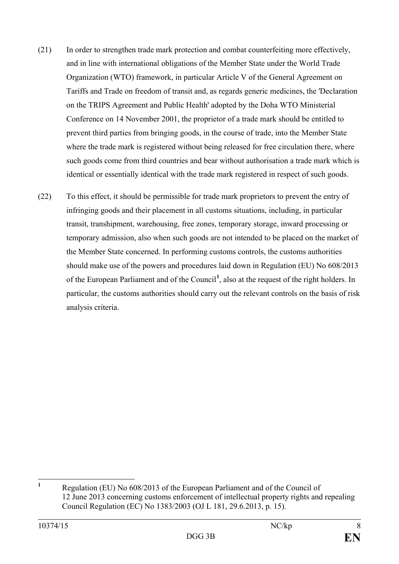- (21) In order to strengthen trade mark protection and combat counterfeiting more effectively, and in line with international obligations of the Member State under the World Trade Organization (WTO) framework, in particular Article V of the General Agreement on Tariffs and Trade on freedom of transit and, as regards generic medicines, the 'Declaration on the TRIPS Agreement and Public Health' adopted by the Doha WTO Ministerial Conference on 14 November 2001, the proprietor of a trade mark should be entitled to prevent third parties from bringing goods, in the course of trade, into the Member State where the trade mark is registered without being released for free circulation there, where such goods come from third countries and bear without authorisation a trade mark which is identical or essentially identical with the trade mark registered in respect of such goods.
- (22) To this effect, it should be permissible for trade mark proprietors to prevent the entry of infringing goods and their placement in all customs situations, including, in particular transit, transhipment, warehousing, free zones, temporary storage, inward processing or temporary admission, also when such goods are not intended to be placed on the market of the Member State concerned. In performing customs controls, the customs authorities should make use of the powers and procedures laid down in Regulation (EU) No 608/2013 of the European Parliament and of the Council**[1](#page-8-0)** , also at the request of the right holders. In particular, the customs authorities should carry out the relevant controls on the basis of risk analysis criteria.

<span id="page-8-0"></span>**<sup>1</sup>** Regulation (EU) No 608/2013 of the European Parliament and of the Council of 12 June 2013 concerning customs enforcement of intellectual property rights and repealing Council Regulation (EC) No 1383/2003 (OJ L 181, 29.6.2013, p. 15).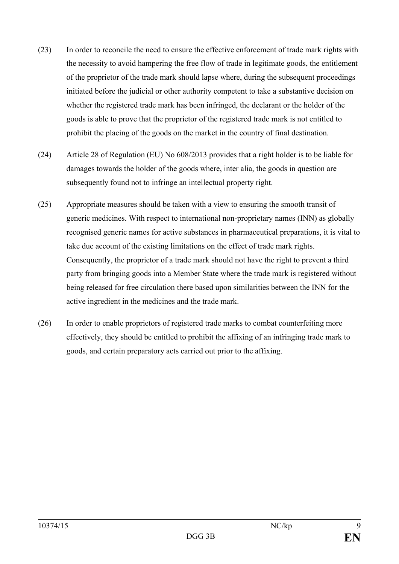- (23) In order to reconcile the need to ensure the effective enforcement of trade mark rights with the necessity to avoid hampering the free flow of trade in legitimate goods, the entitlement of the proprietor of the trade mark should lapse where, during the subsequent proceedings initiated before the judicial or other authority competent to take a substantive decision on whether the registered trade mark has been infringed, the declarant or the holder of the goods is able to prove that the proprietor of the registered trade mark is not entitled to prohibit the placing of the goods on the market in the country of final destination.
- (24) Article 28 of Regulation (EU) No 608/2013 provides that a right holder is to be liable for damages towards the holder of the goods where, inter alia, the goods in question are subsequently found not to infringe an intellectual property right.
- (25) Appropriate measures should be taken with a view to ensuring the smooth transit of generic medicines. With respect to international non-proprietary names (INN) as globally recognised generic names for active substances in pharmaceutical preparations, it is vital to take due account of the existing limitations on the effect of trade mark rights. Consequently, the proprietor of a trade mark should not have the right to prevent a third party from bringing goods into a Member State where the trade mark is registered without being released for free circulation there based upon similarities between the INN for the active ingredient in the medicines and the trade mark.
- (26) In order to enable proprietors of registered trade marks to combat counterfeiting more effectively, they should be entitled to prohibit the affixing of an infringing trade mark to goods, and certain preparatory acts carried out prior to the affixing.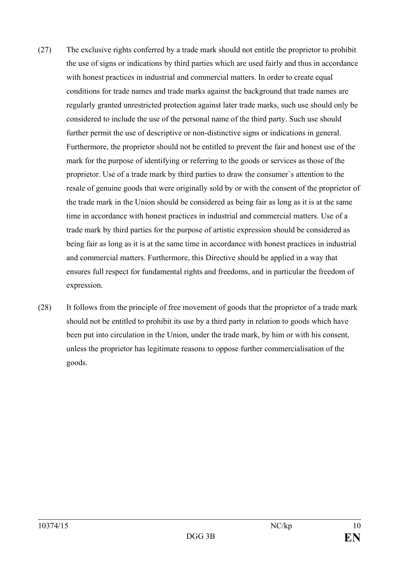- (27) The exclusive rights conferred by a trade mark should not entitle the proprietor to prohibit the use of signs or indications by third parties which are used fairly and thus in accordance with honest practices in industrial and commercial matters. In order to create equal conditions for trade names and trade marks against the background that trade names are regularly granted unrestricted protection against later trade marks, such use should only be considered to include the use of the personal name of the third party. Such use should further permit the use of descriptive or non-distinctive signs or indications in general. Furthermore, the proprietor should not be entitled to prevent the fair and honest use of the mark for the purpose of identifying or referring to the goods or services as those of the proprietor. Use of a trade mark by third parties to draw the consumer`s attention to the resale of genuine goods that were originally sold by or with the consent of the proprietor of the trade mark in the Union should be considered as being fair as long as it is at the same time in accordance with honest practices in industrial and commercial matters. Use of a trade mark by third parties for the purpose of artistic expression should be considered as being fair as long as it is at the same time in accordance with honest practices in industrial and commercial matters. Furthermore, this Directive should be applied in a way that ensures full respect for fundamental rights and freedoms, and in particular the freedom of expression.
- (28) It follows from the principle of free movement of goods that the proprietor of a trade mark should not be entitled to prohibit its use by a third party in relation to goods which have been put into circulation in the Union, under the trade mark, by him or with his consent, unless the proprietor has legitimate reasons to oppose further commercialisation of the goods.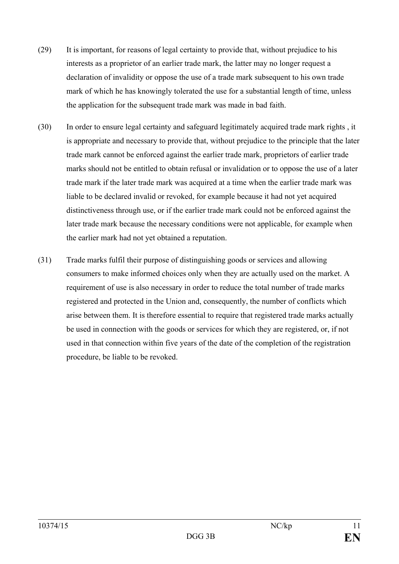- (29) It is important, for reasons of legal certainty to provide that, without prejudice to his interests as a proprietor of an earlier trade mark, the latter may no longer request a declaration of invalidity or oppose the use of a trade mark subsequent to his own trade mark of which he has knowingly tolerated the use for a substantial length of time, unless the application for the subsequent trade mark was made in bad faith.
- (30) In order to ensure legal certainty and safeguard legitimately acquired trade mark rights , it is appropriate and necessary to provide that, without prejudice to the principle that the later trade mark cannot be enforced against the earlier trade mark, proprietors of earlier trade marks should not be entitled to obtain refusal or invalidation or to oppose the use of a later trade mark if the later trade mark was acquired at a time when the earlier trade mark was liable to be declared invalid or revoked, for example because it had not yet acquired distinctiveness through use, or if the earlier trade mark could not be enforced against the later trade mark because the necessary conditions were not applicable, for example when the earlier mark had not yet obtained a reputation.
- (31) Trade marks fulfil their purpose of distinguishing goods or services and allowing consumers to make informed choices only when they are actually used on the market. A requirement of use is also necessary in order to reduce the total number of trade marks registered and protected in the Union and, consequently, the number of conflicts which arise between them. It is therefore essential to require that registered trade marks actually be used in connection with the goods or services for which they are registered, or, if not used in that connection within five years of the date of the completion of the registration procedure, be liable to be revoked.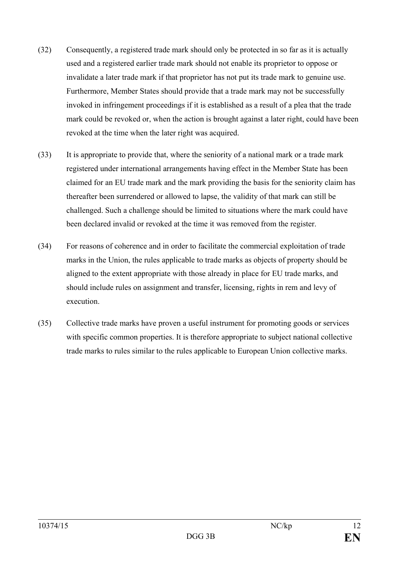- (32) Consequently, a registered trade mark should only be protected in so far as it is actually used and a registered earlier trade mark should not enable its proprietor to oppose or invalidate a later trade mark if that proprietor has not put its trade mark to genuine use. Furthermore, Member States should provide that a trade mark may not be successfully invoked in infringement proceedings if it is established as a result of a plea that the trade mark could be revoked or, when the action is brought against a later right, could have been revoked at the time when the later right was acquired.
- (33) It is appropriate to provide that, where the seniority of a national mark or a trade mark registered under international arrangements having effect in the Member State has been claimed for an EU trade mark and the mark providing the basis for the seniority claim has thereafter been surrendered or allowed to lapse, the validity of that mark can still be challenged. Such a challenge should be limited to situations where the mark could have been declared invalid or revoked at the time it was removed from the register.
- (34) For reasons of coherence and in order to facilitate the commercial exploitation of trade marks in the Union, the rules applicable to trade marks as objects of property should be aligned to the extent appropriate with those already in place for EU trade marks, and should include rules on assignment and transfer, licensing, rights in rem and levy of execution.
- (35) Collective trade marks have proven a useful instrument for promoting goods or services with specific common properties. It is therefore appropriate to subject national collective trade marks to rules similar to the rules applicable to European Union collective marks.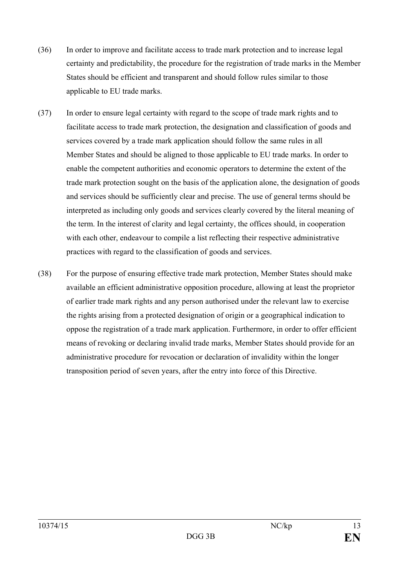- (36) In order to improve and facilitate access to trade mark protection and to increase legal certainty and predictability, the procedure for the registration of trade marks in the Member States should be efficient and transparent and should follow rules similar to those applicable to EU trade marks.
- (37) In order to ensure legal certainty with regard to the scope of trade mark rights and to facilitate access to trade mark protection, the designation and classification of goods and services covered by a trade mark application should follow the same rules in all Member States and should be aligned to those applicable to EU trade marks. In order to enable the competent authorities and economic operators to determine the extent of the trade mark protection sought on the basis of the application alone, the designation of goods and services should be sufficiently clear and precise. The use of general terms should be interpreted as including only goods and services clearly covered by the literal meaning of the term. In the interest of clarity and legal certainty, the offices should, in cooperation with each other, endeavour to compile a list reflecting their respective administrative practices with regard to the classification of goods and services.
- (38) For the purpose of ensuring effective trade mark protection, Member States should make available an efficient administrative opposition procedure, allowing at least the proprietor of earlier trade mark rights and any person authorised under the relevant law to exercise the rights arising from a protected designation of origin or a geographical indication to oppose the registration of a trade mark application. Furthermore, in order to offer efficient means of revoking or declaring invalid trade marks, Member States should provide for an administrative procedure for revocation or declaration of invalidity within the longer transposition period of seven years, after the entry into force of this Directive.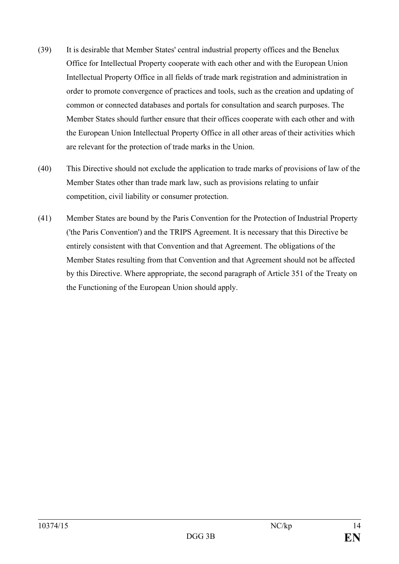- (39) It is desirable that Member States' central industrial property offices and the Benelux Office for Intellectual Property cooperate with each other and with the European Union Intellectual Property Office in all fields of trade mark registration and administration in order to promote convergence of practices and tools, such as the creation and updating of common or connected databases and portals for consultation and search purposes. The Member States should further ensure that their offices cooperate with each other and with the European Union Intellectual Property Office in all other areas of their activities which are relevant for the protection of trade marks in the Union.
- (40) This Directive should not exclude the application to trade marks of provisions of law of the Member States other than trade mark law, such as provisions relating to unfair competition, civil liability or consumer protection.
- (41) Member States are bound by the Paris Convention for the Protection of Industrial Property ('the Paris Convention') and the TRIPS Agreement. It is necessary that this Directive be entirely consistent with that Convention and that Agreement. The obligations of the Member States resulting from that Convention and that Agreement should not be affected by this Directive. Where appropriate, the second paragraph of Article 351 of the Treaty on the Functioning of the European Union should apply.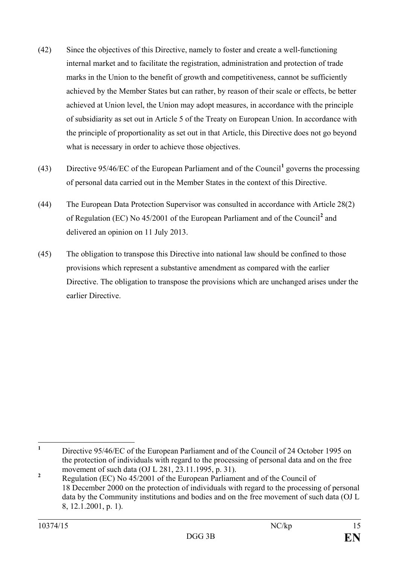- (42) Since the objectives of this Directive, namely to foster and create a well-functioning internal market and to facilitate the registration, administration and protection of trade marks in the Union to the benefit of growth and competitiveness, cannot be sufficiently achieved by the Member States but can rather, by reason of their scale or effects, be better achieved at Union level, the Union may adopt measures, in accordance with the principle of subsidiarity as set out in Article 5 of the Treaty on European Union. In accordance with the principle of proportionality as set out in that Article, this Directive does not go beyond what is necessary in order to achieve those objectives.
- (43) Directive 95/46/EC of the European Parliament and of the Council**[1](#page-15-0)** governs the processing of personal data carried out in the Member States in the context of this Directive.
- (44) The European Data Protection Supervisor was consulted in accordance with Article 28(2) of Regulation (EC) No 45/2001 of the European Parliament and of the Council**[2](#page-15-1)** and delivered an opinion on 11 July 2013.
- (45) The obligation to transpose this Directive into national law should be confined to those provisions which represent a substantive amendment as compared with the earlier Directive. The obligation to transpose the provisions which are unchanged arises under the earlier Directive.

<span id="page-15-0"></span><sup>&</sup>lt;sup>1</sup> Directive 95/46/EC of the European Parliament and of the Council of 24 October 1995 on the protection of individuals with regard to the processing of personal data and on the free movement of such data (OJ L 281, 23.11.1995, p. 31).

<span id="page-15-1"></span><sup>&</sup>lt;sup>2</sup> Regulation (EC) No 45/2001 of the European Parliament and of the Council of 18 December 2000 on the protection of individuals with regard to the processing of personal data by the Community institutions and bodies and on the free movement of such data (OJ L 8, 12.1.2001, p. 1).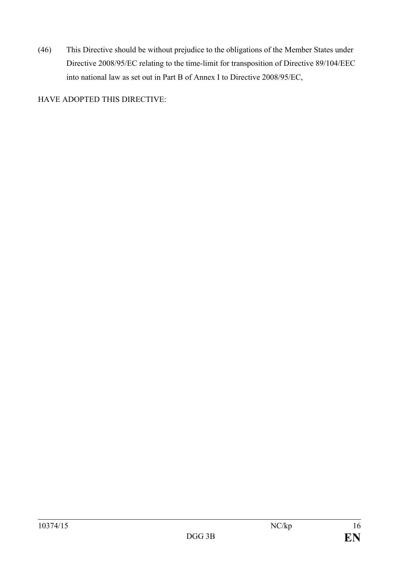(46) This Directive should be without prejudice to the obligations of the Member States under Directive 2008/95/EC relating to the time-limit for transposition of Directive 89/104/EEC into national law as set out in Part B of Annex I to Directive 2008/95/EC,

HAVE ADOPTED THIS DIRECTIVE: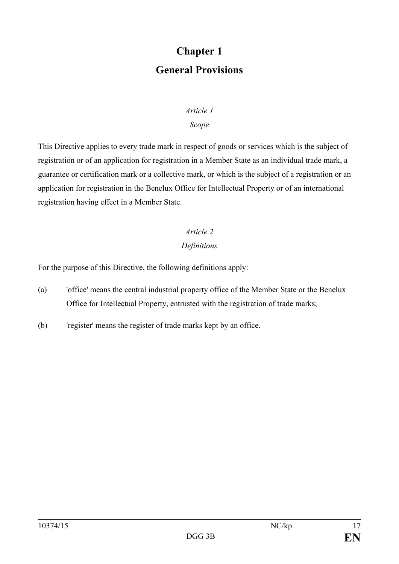# **Chapter 1 General Provisions**

### *Article 1*

#### *Scope*

This Directive applies to every trade mark in respect of goods or services which is the subject of registration or of an application for registration in a Member State as an individual trade mark, a guarantee or certification mark or a collective mark, or which is the subject of a registration or an application for registration in the Benelux Office for Intellectual Property or of an international registration having effect in a Member State.

## *Article 2*

## *Definitions*

For the purpose of this Directive, the following definitions apply:

- (a) 'office' means the central industrial property office of the Member State or the Benelux Office for Intellectual Property, entrusted with the registration of trade marks;
- (b) 'register' means the register of trade marks kept by an office.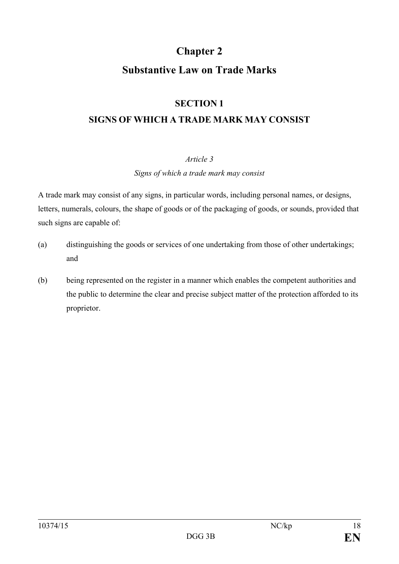# **Chapter 2 Substantive Law on Trade Marks**

## **SECTION 1**

# **SIGNS OF WHICH A TRADE MARK MAY CONSIST**

## *Article 3*

*Signs of which a trade mark may consist*

A trade mark may consist of any signs, in particular words, including personal names, or designs, letters, numerals, colours, the shape of goods or of the packaging of goods, or sounds, provided that such signs are capable of:

- (a) distinguishing the goods or services of one undertaking from those of other undertakings; and
- (b) being represented on the register in a manner which enables the competent authorities and the public to determine the clear and precise subject matter of the protection afforded to its proprietor.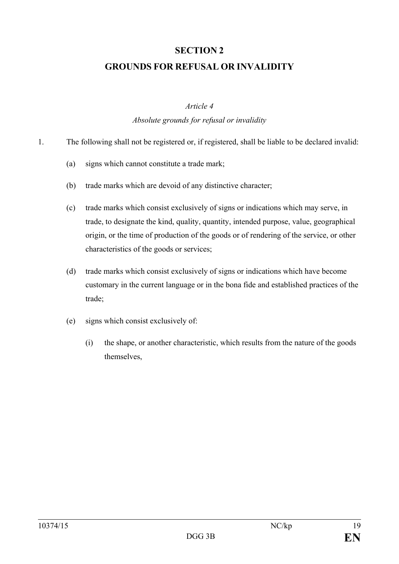## **SECTION 2**

## **GROUNDS FOR REFUSAL OR INVALIDITY**

#### *Article 4*

#### *Absolute grounds for refusal or invalidity*

- 1. The following shall not be registered or, if registered, shall be liable to be declared invalid:
	- (a) signs which cannot constitute a trade mark;
	- (b) trade marks which are devoid of any distinctive character;
	- (c) trade marks which consist exclusively of signs or indications which may serve, in trade, to designate the kind, quality, quantity, intended purpose, value, geographical origin, or the time of production of the goods or of rendering of the service, or other characteristics of the goods or services;
	- (d) trade marks which consist exclusively of signs or indications which have become customary in the current language or in the bona fide and established practices of the trade;
	- (e) signs which consist exclusively of:
		- (i) the shape, or another characteristic, which results from the nature of the goods themselves,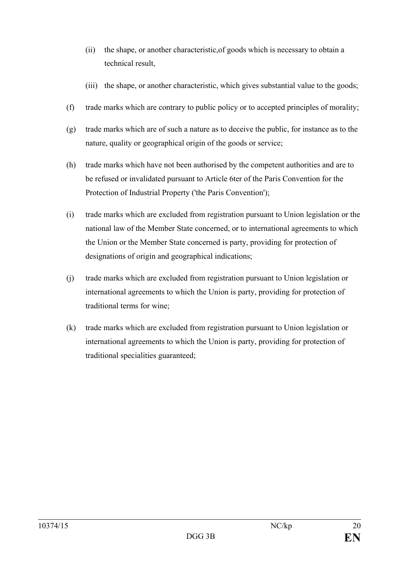- (ii) the shape, or another characteristic,of goods which is necessary to obtain a technical result,
- (iii) the shape, or another characteristic, which gives substantial value to the goods;
- (f) trade marks which are contrary to public policy or to accepted principles of morality;
- (g) trade marks which are of such a nature as to deceive the public, for instance as to the nature, quality or geographical origin of the goods or service;
- (h) trade marks which have not been authorised by the competent authorities and are to be refused or invalidated pursuant to Article 6ter of the Paris Convention for the Protection of Industrial Property ('the Paris Convention');
- (i) trade marks which are excluded from registration pursuant to Union legislation or the national law of the Member State concerned, or to international agreements to which the Union or the Member State concerned is party, providing for protection of designations of origin and geographical indications;
- (j) trade marks which are excluded from registration pursuant to Union legislation or international agreements to which the Union is party, providing for protection of traditional terms for wine;
- (k) trade marks which are excluded from registration pursuant to Union legislation or international agreements to which the Union is party, providing for protection of traditional specialities guaranteed;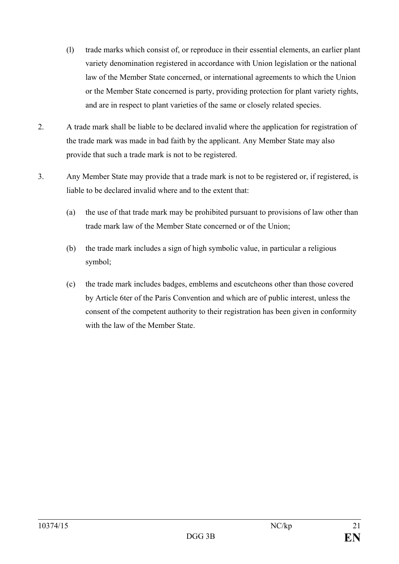- (l) trade marks which consist of, or reproduce in their essential elements, an earlier plant variety denomination registered in accordance with Union legislation or the national law of the Member State concerned, or international agreements to which the Union or the Member State concerned is party, providing protection for plant variety rights, and are in respect to plant varieties of the same or closely related species.
- 2. A trade mark shall be liable to be declared invalid where the application for registration of the trade mark was made in bad faith by the applicant. Any Member State may also provide that such a trade mark is not to be registered.
- 3. Any Member State may provide that a trade mark is not to be registered or, if registered, is liable to be declared invalid where and to the extent that:
	- (a) the use of that trade mark may be prohibited pursuant to provisions of law other than trade mark law of the Member State concerned or of the Union;
	- (b) the trade mark includes a sign of high symbolic value, in particular a religious symbol;
	- (c) the trade mark includes badges, emblems and escutcheons other than those covered by Article 6ter of the Paris Convention and which are of public interest, unless the consent of the competent authority to their registration has been given in conformity with the law of the Member State.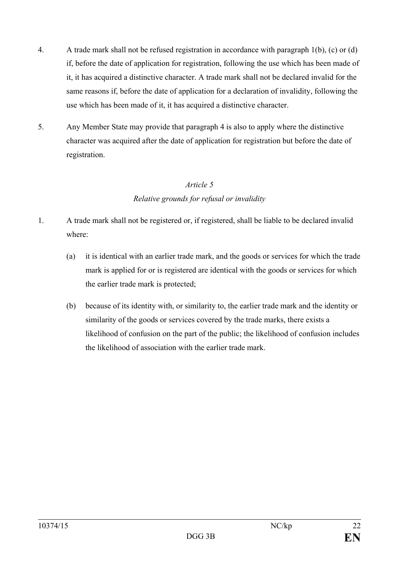- 4. A trade mark shall not be refused registration in accordance with paragraph 1(b), (c) or (d) if, before the date of application for registration, following the use which has been made of it, it has acquired a distinctive character. A trade mark shall not be declared invalid for the same reasons if, before the date of application for a declaration of invalidity, following the use which has been made of it, it has acquired a distinctive character.
- 5. Any Member State may provide that paragraph 4 is also to apply where the distinctive character was acquired after the date of application for registration but before the date of registration.

## *Relative grounds for refusal or invalidity*

- 1. A trade mark shall not be registered or, if registered, shall be liable to be declared invalid where:
	- (a) it is identical with an earlier trade mark, and the goods or services for which the trade mark is applied for or is registered are identical with the goods or services for which the earlier trade mark is protected;
	- (b) because of its identity with, or similarity to, the earlier trade mark and the identity or similarity of the goods or services covered by the trade marks, there exists a likelihood of confusion on the part of the public; the likelihood of confusion includes the likelihood of association with the earlier trade mark.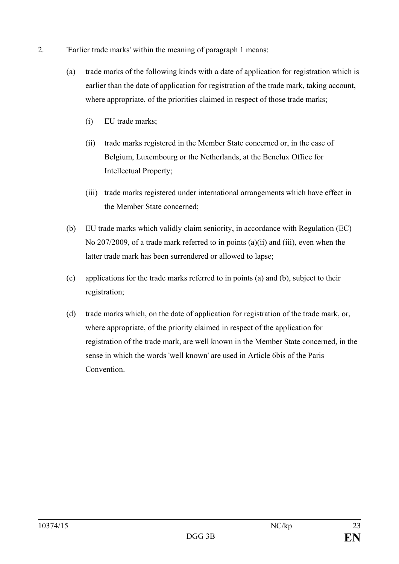- 2. 'Earlier trade marks' within the meaning of paragraph 1 means:
	- (a) trade marks of the following kinds with a date of application for registration which is earlier than the date of application for registration of the trade mark, taking account, where appropriate, of the priorities claimed in respect of those trade marks;
		- (i) EU trade marks;
		- (ii) trade marks registered in the Member State concerned or, in the case of Belgium, Luxembourg or the Netherlands, at the Benelux Office for Intellectual Property;
		- (iii) trade marks registered under international arrangements which have effect in the Member State concerned;
	- (b) EU trade marks which validly claim seniority, in accordance with Regulation (EC) No 207/2009, of a trade mark referred to in points  $(a)(ii)$  and  $(iii)$ , even when the latter trade mark has been surrendered or allowed to lapse;
	- (c) applications for the trade marks referred to in points (a) and (b), subject to their registration;
	- (d) trade marks which, on the date of application for registration of the trade mark, or, where appropriate, of the priority claimed in respect of the application for registration of the trade mark, are well known in the Member State concerned, in the sense in which the words 'well known' are used in Article 6bis of the Paris Convention.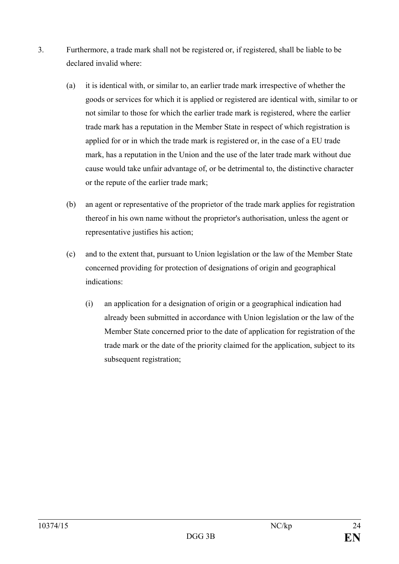- 3. Furthermore, a trade mark shall not be registered or, if registered, shall be liable to be declared invalid where:
	- (a) it is identical with, or similar to, an earlier trade mark irrespective of whether the goods or services for which it is applied or registered are identical with, similar to or not similar to those for which the earlier trade mark is registered, where the earlier trade mark has a reputation in the Member State in respect of which registration is applied for or in which the trade mark is registered or, in the case of a EU trade mark, has a reputation in the Union and the use of the later trade mark without due cause would take unfair advantage of, or be detrimental to, the distinctive character or the repute of the earlier trade mark;
	- (b) an agent or representative of the proprietor of the trade mark applies for registration thereof in his own name without the proprietor's authorisation, unless the agent or representative justifies his action;
	- (c) and to the extent that, pursuant to Union legislation or the law of the Member State concerned providing for protection of designations of origin and geographical indications:
		- (i) an application for a designation of origin or a geographical indication had already been submitted in accordance with Union legislation or the law of the Member State concerned prior to the date of application for registration of the trade mark or the date of the priority claimed for the application, subject to its subsequent registration;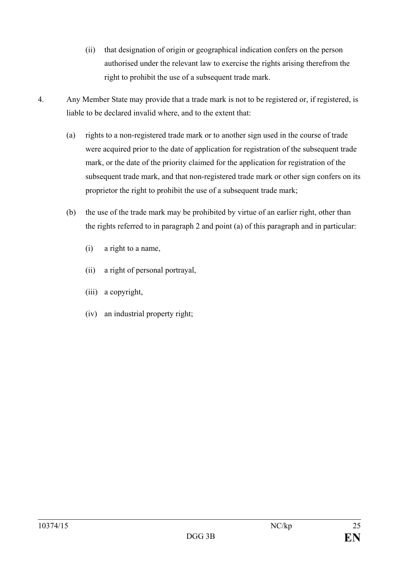- (ii) that designation of origin or geographical indication confers on the person authorised under the relevant law to exercise the rights arising therefrom the right to prohibit the use of a subsequent trade mark.
- 4. Any Member State may provide that a trade mark is not to be registered or, if registered, is liable to be declared invalid where, and to the extent that:
	- (a) rights to a non-registered trade mark or to another sign used in the course of trade were acquired prior to the date of application for registration of the subsequent trade mark, or the date of the priority claimed for the application for registration of the subsequent trade mark, and that non-registered trade mark or other sign confers on its proprietor the right to prohibit the use of a subsequent trade mark;
	- (b) the use of the trade mark may be prohibited by virtue of an earlier right, other than the rights referred to in paragraph 2 and point (a) of this paragraph and in particular:
		- (i) a right to a name,
		- (ii) a right of personal portrayal,
		- (iii) a copyright,
		- (iv) an industrial property right;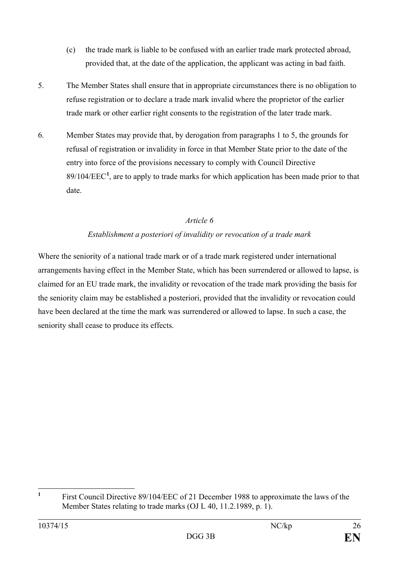- (c) the trade mark is liable to be confused with an earlier trade mark protected abroad, provided that, at the date of the application, the applicant was acting in bad faith.
- 5. The Member States shall ensure that in appropriate circumstances there is no obligation to refuse registration or to declare a trade mark invalid where the proprietor of the earlier trade mark or other earlier right consents to the registration of the later trade mark.
- 6. Member States may provide that, by derogation from paragraphs 1 to 5, the grounds for refusal of registration or invalidity in force in that Member State prior to the date of the entry into force of the provisions necessary to comply with Council Directive 89/104/EEC**[1](#page-26-0)** , are to apply to trade marks for which application has been made prior to that date.

## *Establishment a posteriori of invalidity or revocation of a trade mark*

Where the seniority of a national trade mark or of a trade mark registered under international arrangements having effect in the Member State, which has been surrendered or allowed to lapse, is claimed for an EU trade mark, the invalidity or revocation of the trade mark providing the basis for the seniority claim may be established a posteriori, provided that the invalidity or revocation could have been declared at the time the mark was surrendered or allowed to lapse. In such a case, the seniority shall cease to produce its effects.

<span id="page-26-0"></span>**<sup>1</sup>** First Council Directive 89/104/EEC of 21 December 1988 to approximate the laws of the Member States relating to trade marks (OJ L 40, 11.2.1989, p. 1).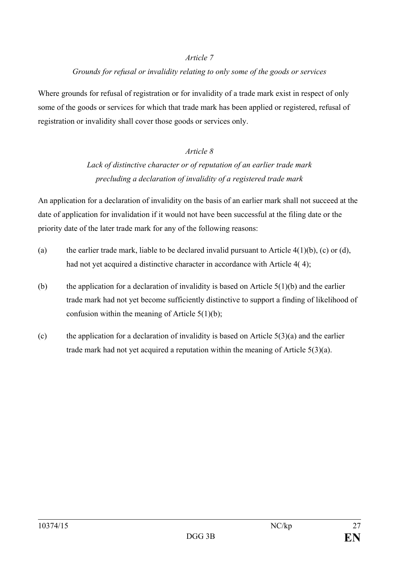#### *Grounds for refusal or invalidity relating to only some of the goods or services*

Where grounds for refusal of registration or for invalidity of a trade mark exist in respect of only some of the goods or services for which that trade mark has been applied or registered, refusal of registration or invalidity shall cover those goods or services only.

#### *Article 8*

## *Lack of distinctive character or of reputation of an earlier trade mark precluding a declaration of invalidity of a registered trade mark*

An application for a declaration of invalidity on the basis of an earlier mark shall not succeed at the date of application for invalidation if it would not have been successful at the filing date or the priority date of the later trade mark for any of the following reasons:

- (a) the earlier trade mark, liable to be declared invalid pursuant to Article  $4(1)(b)$ , (c) or (d), had not yet acquired a distinctive character in accordance with Article 4( 4);
- (b) the application for a declaration of invalidity is based on Article  $5(1)(b)$  and the earlier trade mark had not yet become sufficiently distinctive to support a finding of likelihood of confusion within the meaning of Article  $5(1)(b)$ ;
- (c) the application for a declaration of invalidity is based on Article  $5(3)(a)$  and the earlier trade mark had not yet acquired a reputation within the meaning of Article 5(3)(a).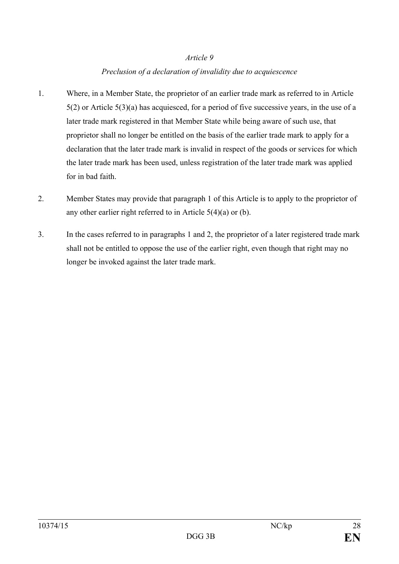## *Preclusion of a declaration of invalidity due to acquiescence*

- 1. Where, in a Member State, the proprietor of an earlier trade mark as referred to in Article 5(2) or Article 5(3)(a) has acquiesced, for a period of five successive years, in the use of a later trade mark registered in that Member State while being aware of such use, that proprietor shall no longer be entitled on the basis of the earlier trade mark to apply for a declaration that the later trade mark is invalid in respect of the goods or services for which the later trade mark has been used, unless registration of the later trade mark was applied for in bad faith.
- 2. Member States may provide that paragraph 1 of this Article is to apply to the proprietor of any other earlier right referred to in Article 5(4)(a) or (b).
- 3. In the cases referred to in paragraphs 1 and 2, the proprietor of a later registered trade mark shall not be entitled to oppose the use of the earlier right, even though that right may no longer be invoked against the later trade mark.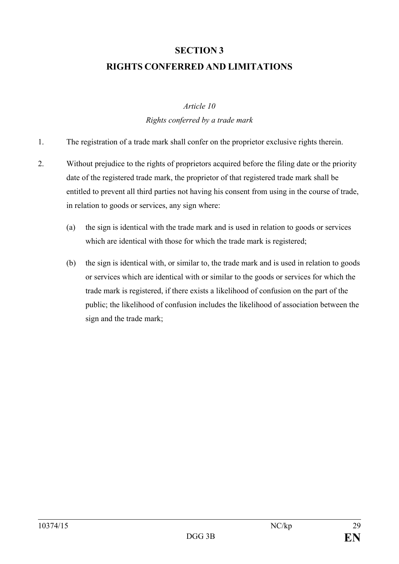# **SECTION 3 RIGHTS CONFERRED AND LIMITATIONS**

# *Article 10 Rights conferred by a trade mark*

- 1. The registration of a trade mark shall confer on the proprietor exclusive rights therein.
- 2. Without prejudice to the rights of proprietors acquired before the filing date or the priority date of the registered trade mark, the proprietor of that registered trade mark shall be entitled to prevent all third parties not having his consent from using in the course of trade, in relation to goods or services, any sign where:
	- (a) the sign is identical with the trade mark and is used in relation to goods or services which are identical with those for which the trade mark is registered;
	- (b) the sign is identical with, or similar to, the trade mark and is used in relation to goods or services which are identical with or similar to the goods or services for which the trade mark is registered, if there exists a likelihood of confusion on the part of the public; the likelihood of confusion includes the likelihood of association between the sign and the trade mark;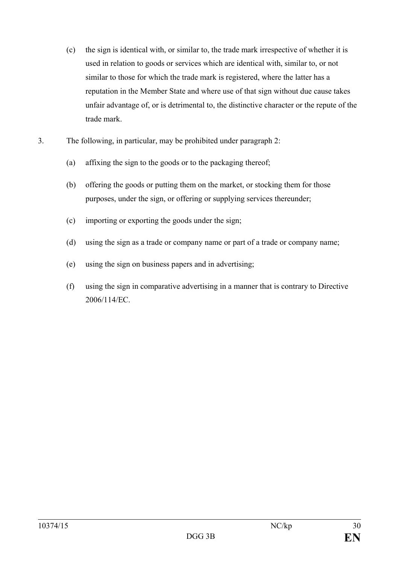- (c) the sign is identical with, or similar to, the trade mark irrespective of whether it is used in relation to goods or services which are identical with, similar to, or not similar to those for which the trade mark is registered, where the latter has a reputation in the Member State and where use of that sign without due cause takes unfair advantage of, or is detrimental to, the distinctive character or the repute of the trade mark.
- 3. The following, in particular, may be prohibited under paragraph 2:
	- (a) affixing the sign to the goods or to the packaging thereof;
	- (b) offering the goods or putting them on the market, or stocking them for those purposes, under the sign, or offering or supplying services thereunder;
	- (c) importing or exporting the goods under the sign;
	- (d) using the sign as a trade or company name or part of a trade or company name;
	- (e) using the sign on business papers and in advertising;
	- (f) using the sign in comparative advertising in a manner that is contrary to Directive 2006/114/EC.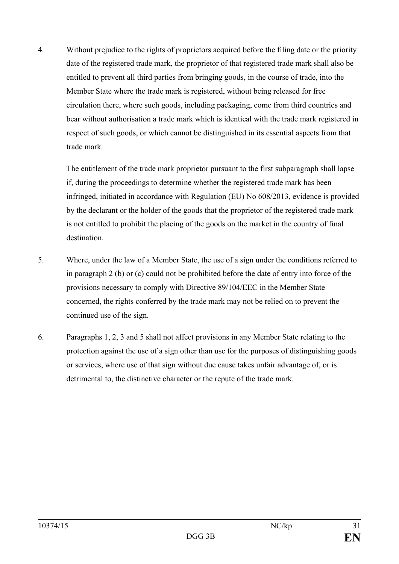4. Without prejudice to the rights of proprietors acquired before the filing date or the priority date of the registered trade mark, the proprietor of that registered trade mark shall also be entitled to prevent all third parties from bringing goods, in the course of trade, into the Member State where the trade mark is registered, without being released for free circulation there, where such goods, including packaging, come from third countries and bear without authorisation a trade mark which is identical with the trade mark registered in respect of such goods, or which cannot be distinguished in its essential aspects from that trade mark.

The entitlement of the trade mark proprietor pursuant to the first subparagraph shall lapse if, during the proceedings to determine whether the registered trade mark has been infringed, initiated in accordance with Regulation (EU) No 608/2013, evidence is provided by the declarant or the holder of the goods that the proprietor of the registered trade mark is not entitled to prohibit the placing of the goods on the market in the country of final destination.

- 5. Where, under the law of a Member State, the use of a sign under the conditions referred to in paragraph 2 (b) or (c) could not be prohibited before the date of entry into force of the provisions necessary to comply with Directive 89/104/EEC in the Member State concerned, the rights conferred by the trade mark may not be relied on to prevent the continued use of the sign.
- 6. Paragraphs 1, 2, 3 and 5 shall not affect provisions in any Member State relating to the protection against the use of a sign other than use for the purposes of distinguishing goods or services, where use of that sign without due cause takes unfair advantage of, or is detrimental to, the distinctive character or the repute of the trade mark.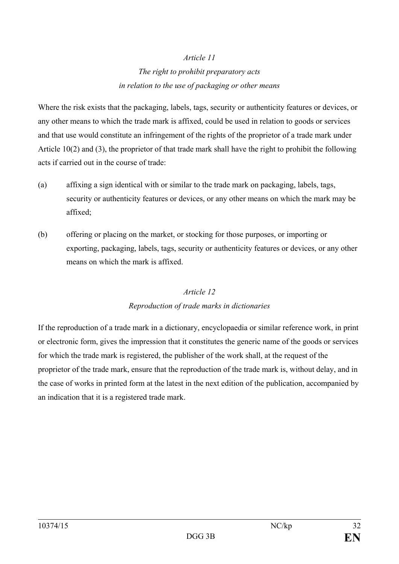# *The right to prohibit preparatory acts in relation to the use of packaging or other means*

Where the risk exists that the packaging, labels, tags, security or authenticity features or devices, or any other means to which the trade mark is affixed, could be used in relation to goods or services and that use would constitute an infringement of the rights of the proprietor of a trade mark under Article 10(2) and (3), the proprietor of that trade mark shall have the right to prohibit the following acts if carried out in the course of trade:

- (a) affixing a sign identical with or similar to the trade mark on packaging, labels, tags, security or authenticity features or devices, or any other means on which the mark may be affixed;
- (b) offering or placing on the market, or stocking for those purposes, or importing or exporting, packaging, labels, tags, security or authenticity features or devices, or any other means on which the mark is affixed.

#### *Article 12*

## *Reproduction of trade marks in dictionaries*

If the reproduction of a trade mark in a dictionary, encyclopaedia or similar reference work, in print or electronic form, gives the impression that it constitutes the generic name of the goods or services for which the trade mark is registered, the publisher of the work shall, at the request of the proprietor of the trade mark, ensure that the reproduction of the trade mark is, without delay, and in the case of works in printed form at the latest in the next edition of the publication, accompanied by an indication that it is a registered trade mark.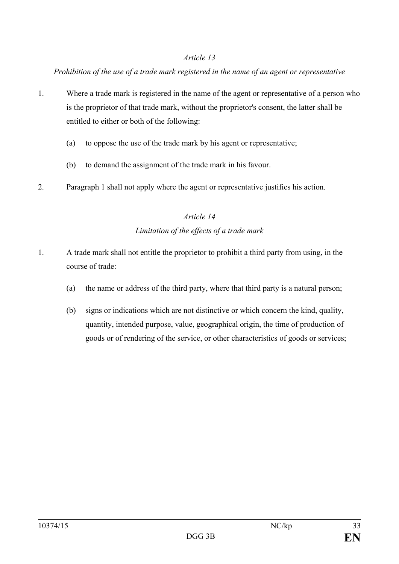#### *Prohibition of the use of a trade mark registered in the name of an agent or representative*

- 1. Where a trade mark is registered in the name of the agent or representative of a person who is the proprietor of that trade mark, without the proprietor's consent, the latter shall be entitled to either or both of the following:
	- (a) to oppose the use of the trade mark by his agent or representative;
	- (b) to demand the assignment of the trade mark in his favour.
- 2. Paragraph 1 shall not apply where the agent or representative justifies his action.

# *Article 14 Limitation of the effects of a trade mark*

- 1. A trade mark shall not entitle the proprietor to prohibit a third party from using, in the course of trade:
	- (a) the name or address of the third party, where that third party is a natural person;
	- (b) signs or indications which are not distinctive or which concern the kind, quality, quantity, intended purpose, value, geographical origin, the time of production of goods or of rendering of the service, or other characteristics of goods or services;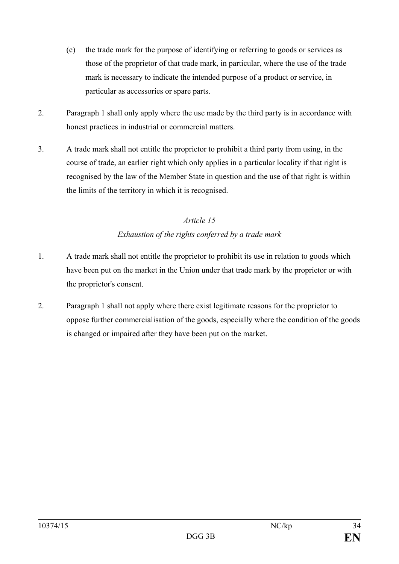- (c) the trade mark for the purpose of identifying or referring to goods or services as those of the proprietor of that trade mark, in particular, where the use of the trade mark is necessary to indicate the intended purpose of a product or service, in particular as accessories or spare parts.
- 2. Paragraph 1 shall only apply where the use made by the third party is in accordance with honest practices in industrial or commercial matters.
- 3. A trade mark shall not entitle the proprietor to prohibit a third party from using, in the course of trade, an earlier right which only applies in a particular locality if that right is recognised by the law of the Member State in question and the use of that right is within the limits of the territory in which it is recognised.

# *Article 15 Exhaustion of the rights conferred by a trade mark*

- 1. A trade mark shall not entitle the proprietor to prohibit its use in relation to goods which have been put on the market in the Union under that trade mark by the proprietor or with the proprietor's consent.
- 2. Paragraph 1 shall not apply where there exist legitimate reasons for the proprietor to oppose further commercialisation of the goods, especially where the condition of the goods is changed or impaired after they have been put on the market.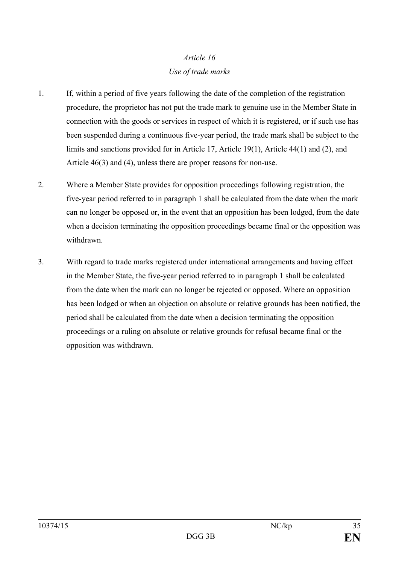# *Article 16 Use of trade marks*

- 1. If, within a period of five years following the date of the completion of the registration procedure, the proprietor has not put the trade mark to genuine use in the Member State in connection with the goods or services in respect of which it is registered, or if such use has been suspended during a continuous five-year period, the trade mark shall be subject to the limits and sanctions provided for in Article 17, Article 19(1), Article 44(1) and (2), and Article 46(3) and (4), unless there are proper reasons for non-use.
- 2. Where a Member State provides for opposition proceedings following registration, the five-year period referred to in paragraph 1 shall be calculated from the date when the mark can no longer be opposed or, in the event that an opposition has been lodged, from the date when a decision terminating the opposition proceedings became final or the opposition was withdrawn.
- 3. With regard to trade marks registered under international arrangements and having effect in the Member State, the five-year period referred to in paragraph 1 shall be calculated from the date when the mark can no longer be rejected or opposed. Where an opposition has been lodged or when an objection on absolute or relative grounds has been notified, the period shall be calculated from the date when a decision terminating the opposition proceedings or a ruling on absolute or relative grounds for refusal became final or the opposition was withdrawn.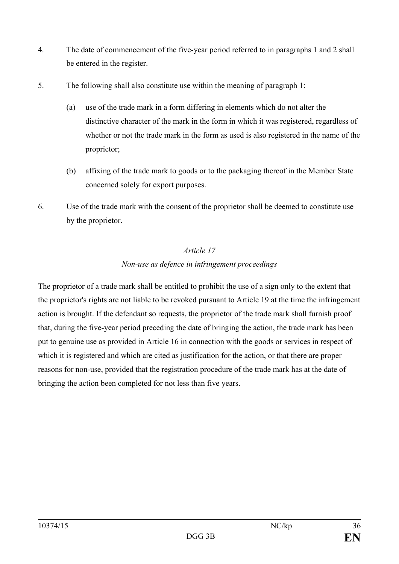- 4. The date of commencement of the five-year period referred to in paragraphs 1 and 2 shall be entered in the register.
- 5. The following shall also constitute use within the meaning of paragraph 1:
	- (a) use of the trade mark in a form differing in elements which do not alter the distinctive character of the mark in the form in which it was registered, regardless of whether or not the trade mark in the form as used is also registered in the name of the proprietor;
	- (b) affixing of the trade mark to goods or to the packaging thereof in the Member State concerned solely for export purposes.
- 6. Use of the trade mark with the consent of the proprietor shall be deemed to constitute use by the proprietor.

## *Article 17 Non-use as defence in infringement proceedings*

The proprietor of a trade mark shall be entitled to prohibit the use of a sign only to the extent that the proprietor's rights are not liable to be revoked pursuant to Article 19 at the time the infringement action is brought. If the defendant so requests, the proprietor of the trade mark shall furnish proof that, during the five-year period preceding the date of bringing the action, the trade mark has been put to genuine use as provided in Article 16 in connection with the goods or services in respect of which it is registered and which are cited as justification for the action, or that there are proper reasons for non-use, provided that the registration procedure of the trade mark has at the date of bringing the action been completed for not less than five years.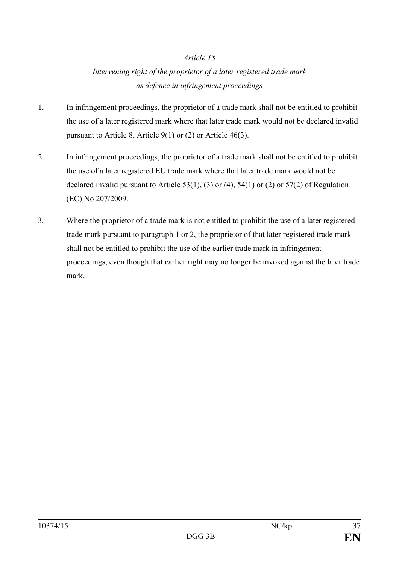# *Intervening right of the proprietor of a later registered trade mark as defence in infringement proceedings*

- 1. In infringement proceedings, the proprietor of a trade mark shall not be entitled to prohibit the use of a later registered mark where that later trade mark would not be declared invalid pursuant to Article 8, Article 9(1) or (2) or Article 46(3).
- 2. In infringement proceedings, the proprietor of a trade mark shall not be entitled to prohibit the use of a later registered EU trade mark where that later trade mark would not be declared invalid pursuant to Article 53(1), (3) or (4), 54(1) or (2) or 57(2) of Regulation (EC) No 207/2009.
- 3. Where the proprietor of a trade mark is not entitled to prohibit the use of a later registered trade mark pursuant to paragraph 1 or 2, the proprietor of that later registered trade mark shall not be entitled to prohibit the use of the earlier trade mark in infringement proceedings, even though that earlier right may no longer be invoked against the later trade mark.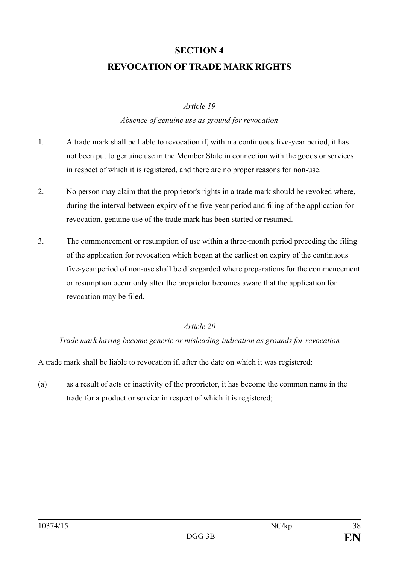# **SECTION 4 REVOCATION OF TRADE MARK RIGHTS**

#### *Article 19*

#### *Absence of genuine use as ground for revocation*

- 1. A trade mark shall be liable to revocation if, within a continuous five-year period, it has not been put to genuine use in the Member State in connection with the goods or services in respect of which it is registered, and there are no proper reasons for non-use.
- 2. No person may claim that the proprietor's rights in a trade mark should be revoked where, during the interval between expiry of the five-year period and filing of the application for revocation, genuine use of the trade mark has been started or resumed.
- 3. The commencement or resumption of use within a three-month period preceding the filing of the application for revocation which began at the earliest on expiry of the continuous five-year period of non-use shall be disregarded where preparations for the commencement or resumption occur only after the proprietor becomes aware that the application for revocation may be filed.

#### *Article 20*

*Trade mark having become generic or misleading indication as grounds for revocation*

A trade mark shall be liable to revocation if, after the date on which it was registered:

(a) as a result of acts or inactivity of the proprietor, it has become the common name in the trade for a product or service in respect of which it is registered;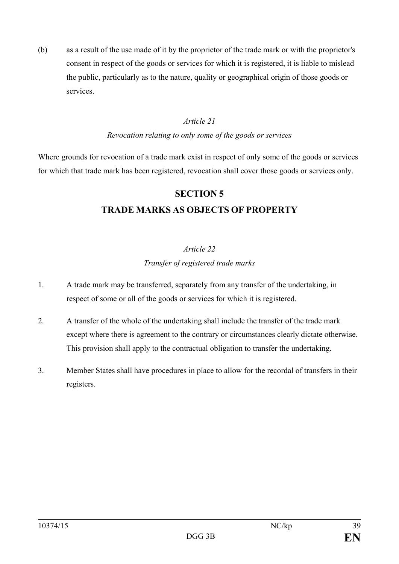(b) as a result of the use made of it by the proprietor of the trade mark or with the proprietor's consent in respect of the goods or services for which it is registered, it is liable to mislead the public, particularly as to the nature, quality or geographical origin of those goods or services.

## *Article 21*

#### *Revocation relating to only some of the goods or services*

Where grounds for revocation of a trade mark exist in respect of only some of the goods or services for which that trade mark has been registered, revocation shall cover those goods or services only.

## **SECTION 5**

## **TRADE MARKS AS OBJECTS OF PROPERTY**

## *Article 22*

*Transfer of registered trade marks*

- 1. A trade mark may be transferred, separately from any transfer of the undertaking, in respect of some or all of the goods or services for which it is registered.
- 2. A transfer of the whole of the undertaking shall include the transfer of the trade mark except where there is agreement to the contrary or circumstances clearly dictate otherwise. This provision shall apply to the contractual obligation to transfer the undertaking.
- 3. Member States shall have procedures in place to allow for the recordal of transfers in their registers.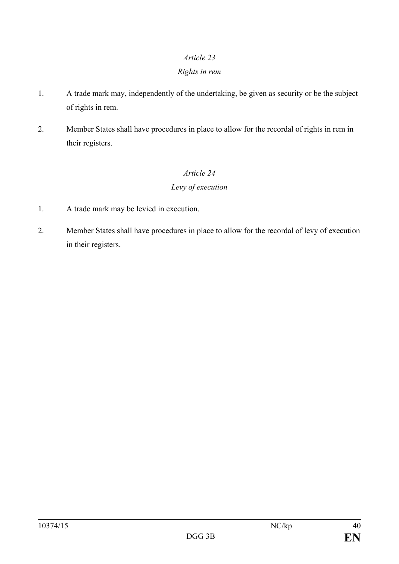#### *Rights in rem*

- 1. A trade mark may, independently of the undertaking, be given as security or be the subject of rights in rem.
- 2. Member States shall have procedures in place to allow for the recordal of rights in rem in their registers.

## *Article 24 Levy of execution*

- 1. A trade mark may be levied in execution.
- 2. Member States shall have procedures in place to allow for the recordal of levy of execution in their registers.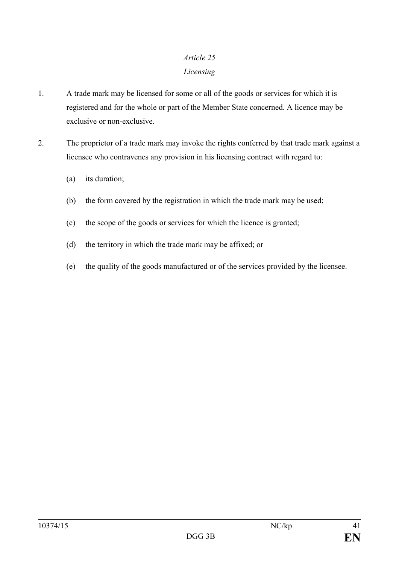#### *Licensing*

- 1. A trade mark may be licensed for some or all of the goods or services for which it is registered and for the whole or part of the Member State concerned. A licence may be exclusive or non-exclusive.
- 2. The proprietor of a trade mark may invoke the rights conferred by that trade mark against a licensee who contravenes any provision in his licensing contract with regard to:
	- (a) its duration;
	- (b) the form covered by the registration in which the trade mark may be used;
	- (c) the scope of the goods or services for which the licence is granted;
	- (d) the territory in which the trade mark may be affixed; or
	- (e) the quality of the goods manufactured or of the services provided by the licensee.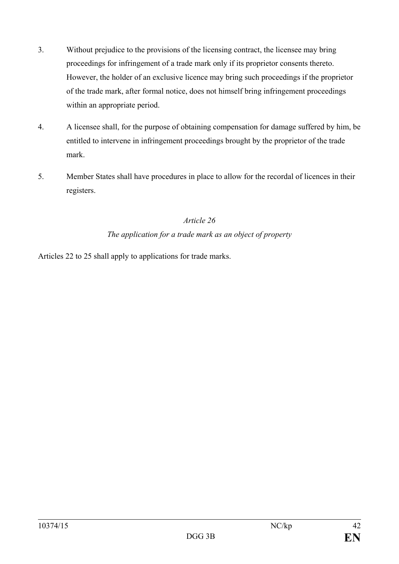- 3. Without prejudice to the provisions of the licensing contract, the licensee may bring proceedings for infringement of a trade mark only if its proprietor consents thereto. However, the holder of an exclusive licence may bring such proceedings if the proprietor of the trade mark, after formal notice, does not himself bring infringement proceedings within an appropriate period.
- 4. A licensee shall, for the purpose of obtaining compensation for damage suffered by him, be entitled to intervene in infringement proceedings brought by the proprietor of the trade mark.
- 5. Member States shall have procedures in place to allow for the recordal of licences in their registers.

# *Article 26 The application for a trade mark as an object of property*

Articles 22 to 25 shall apply to applications for trade marks.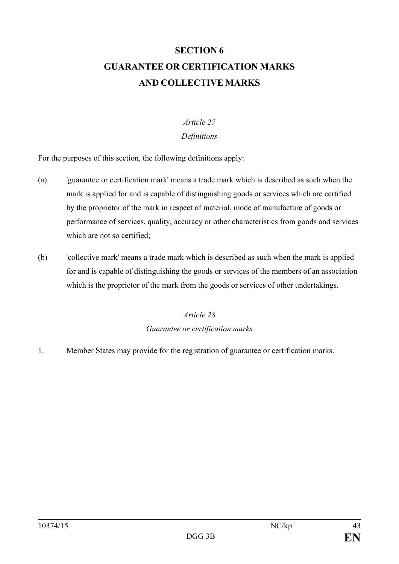# **SECTION 6 GUARANTEE OR CERTIFICATION MARKS AND COLLECTIVE MARKS**

## *Article 27*

## *Definitions*

For the purposes of this section, the following definitions apply:

- (a) 'guarantee or certification mark' means a trade mark which is described as such when the mark is applied for and is capable of distinguishing goods or services which are certified by the proprietor of the mark in respect of material, mode of manufacture of goods or performance of services, quality, accuracy or other characteristics from goods and services which are not so certified;
- (b) 'collective mark' means a trade mark which is described as such when the mark is applied for and is capable of distinguishing the goods or services of the members of an association which is the proprietor of the mark from the goods or services of other undertakings.

# *Article 28*

## *Guarantee or certification marks*

1. Member States may provide for the registration of guarantee or certification marks.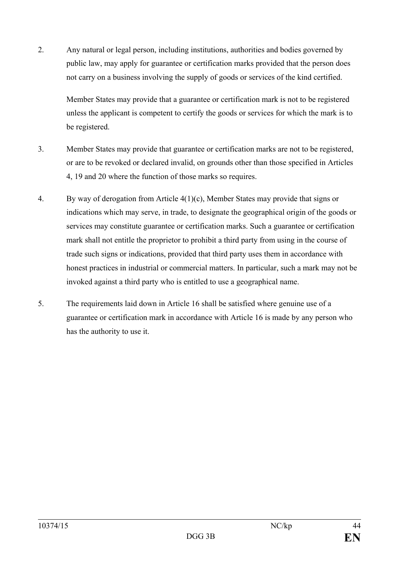2. Any natural or legal person, including institutions, authorities and bodies governed by public law, may apply for guarantee or certification marks provided that the person does not carry on a business involving the supply of goods or services of the kind certified.

Member States may provide that a guarantee or certification mark is not to be registered unless the applicant is competent to certify the goods or services for which the mark is to be registered.

- 3. Member States may provide that guarantee or certification marks are not to be registered, or are to be revoked or declared invalid, on grounds other than those specified in Articles 4, 19 and 20 where the function of those marks so requires.
- 4. By way of derogation from Article 4(1)(c), Member States may provide that signs or indications which may serve, in trade, to designate the geographical origin of the goods or services may constitute guarantee or certification marks. Such a guarantee or certification mark shall not entitle the proprietor to prohibit a third party from using in the course of trade such signs or indications, provided that third party uses them in accordance with honest practices in industrial or commercial matters. In particular, such a mark may not be invoked against a third party who is entitled to use a geographical name.
- 5. The requirements laid down in Article 16 shall be satisfied where genuine use of a guarantee or certification mark in accordance with Article 16 is made by any person who has the authority to use it.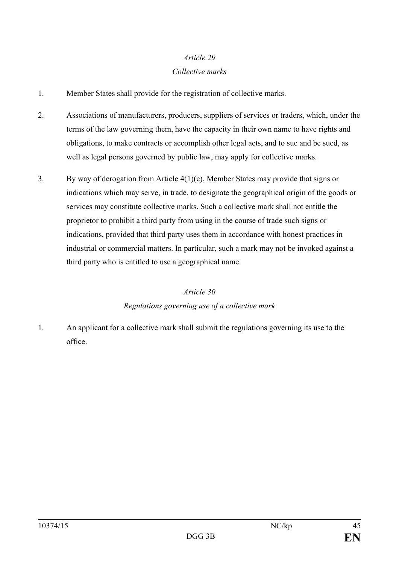#### *Collective marks*

- 1. Member States shall provide for the registration of collective marks.
- 2. Associations of manufacturers, producers, suppliers of services or traders, which, under the terms of the law governing them, have the capacity in their own name to have rights and obligations, to make contracts or accomplish other legal acts, and to sue and be sued, as well as legal persons governed by public law, may apply for collective marks.
- 3. By way of derogation from Article 4(1)(c), Member States may provide that signs or indications which may serve, in trade, to designate the geographical origin of the goods or services may constitute collective marks. Such a collective mark shall not entitle the proprietor to prohibit a third party from using in the course of trade such signs or indications, provided that third party uses them in accordance with honest practices in industrial or commercial matters. In particular, such a mark may not be invoked against a third party who is entitled to use a geographical name.

#### *Article 30*

## *Regulations governing use of a collective mark*

1. An applicant for a collective mark shall submit the regulations governing its use to the office.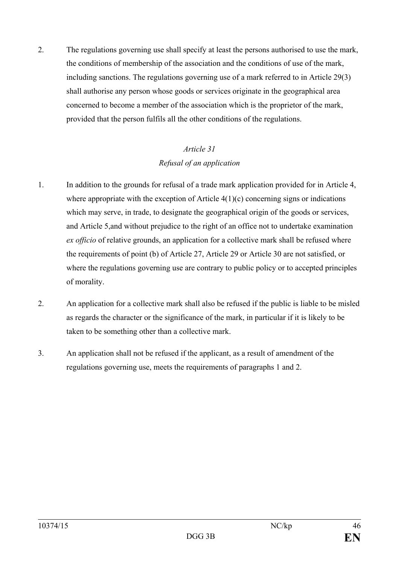2. The regulations governing use shall specify at least the persons authorised to use the mark, the conditions of membership of the association and the conditions of use of the mark, including sanctions. The regulations governing use of a mark referred to in Article 29(3) shall authorise any person whose goods or services originate in the geographical area concerned to become a member of the association which is the proprietor of the mark, provided that the person fulfils all the other conditions of the regulations.

# *Article 31 Refusal of an application*

- 1. In addition to the grounds for refusal of a trade mark application provided for in Article 4, where appropriate with the exception of Article  $4(1)(c)$  concerning signs or indications which may serve, in trade, to designate the geographical origin of the goods or services, and Article 5,and without prejudice to the right of an office not to undertake examination *ex officio* of relative grounds, an application for a collective mark shall be refused where the requirements of point (b) of Article 27, Article 29 or Article 30 are not satisfied, or where the regulations governing use are contrary to public policy or to accepted principles of morality.
- 2. An application for a collective mark shall also be refused if the public is liable to be misled as regards the character or the significance of the mark, in particular if it is likely to be taken to be something other than a collective mark.
- 3. An application shall not be refused if the applicant, as a result of amendment of the regulations governing use, meets the requirements of paragraphs 1 and 2.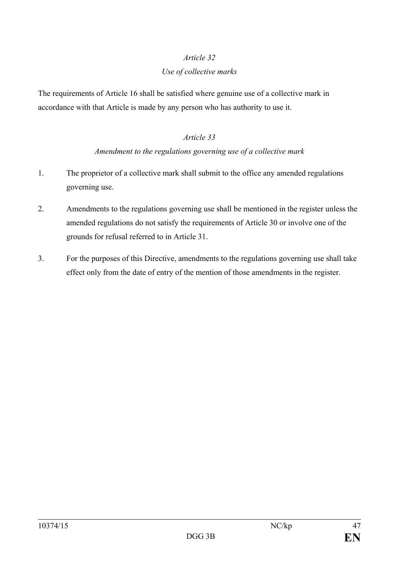## *Use of collective marks*

The requirements of Article 16 shall be satisfied where genuine use of a collective mark in accordance with that Article is made by any person who has authority to use it.

## *Article 33*

### *Amendment to the regulations governing use of a collective mark*

- 1. The proprietor of a collective mark shall submit to the office any amended regulations governing use.
- 2. Amendments to the regulations governing use shall be mentioned in the register unless the amended regulations do not satisfy the requirements of Article 30 or involve one of the grounds for refusal referred to in Article 31.
- 3. For the purposes of this Directive, amendments to the regulations governing use shall take effect only from the date of entry of the mention of those amendments in the register.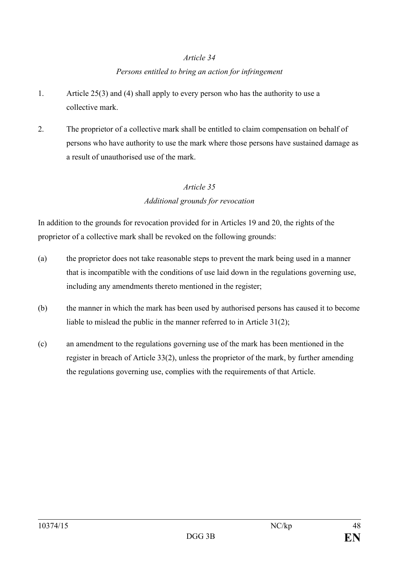#### *Persons entitled to bring an action for infringement*

- 1. Article 25(3) and (4) shall apply to every person who has the authority to use a collective mark.
- 2. The proprietor of a collective mark shall be entitled to claim compensation on behalf of persons who have authority to use the mark where those persons have sustained damage as a result of unauthorised use of the mark.

## *Article 35 Additional grounds for revocation*

In addition to the grounds for revocation provided for in Articles 19 and 20, the rights of the proprietor of a collective mark shall be revoked on the following grounds:

- (a) the proprietor does not take reasonable steps to prevent the mark being used in a manner that is incompatible with the conditions of use laid down in the regulations governing use, including any amendments thereto mentioned in the register;
- (b) the manner in which the mark has been used by authorised persons has caused it to become liable to mislead the public in the manner referred to in Article 31(2);
- (c) an amendment to the regulations governing use of the mark has been mentioned in the register in breach of Article 33(2), unless the proprietor of the mark, by further amending the regulations governing use, complies with the requirements of that Article.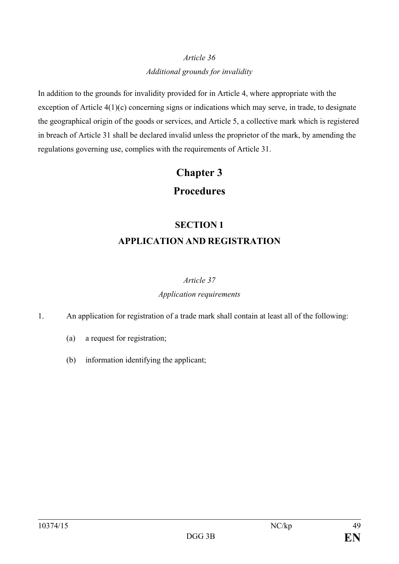# *Article 36 Additional grounds for invalidity*

In addition to the grounds for invalidity provided for in Article 4, where appropriate with the exception of Article 4(1)(c) concerning signs or indications which may serve, in trade, to designate the geographical origin of the goods or services, and Article 5, a collective mark which is registered in breach of Article 31 shall be declared invalid unless the proprietor of the mark, by amending the regulations governing use, complies with the requirements of Article 31.

# **Chapter 3 Procedures**

# **SECTION 1 APPLICATION AND REGISTRATION**

## *Article 37*

## *Application requirements*

- 1. An application for registration of a trade mark shall contain at least all of the following:
	- (a) a request for registration;
	- (b) information identifying the applicant;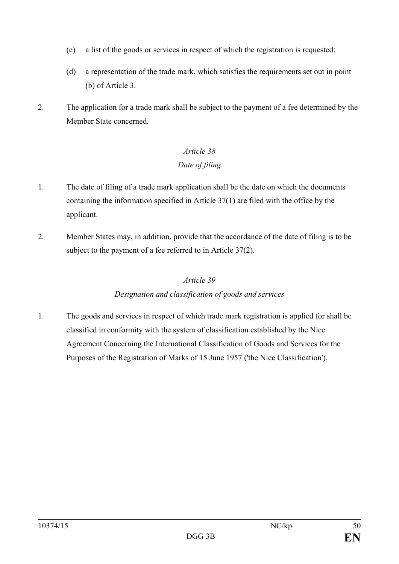- (c) a list of the goods or services in respect of which the registration is requested;
- (d) a representation of the trade mark, which satisfies the requirements set out in point (b) of Article 3.
- 2. The application for a trade mark shall be subject to the payment of a fee determined by the Member State concerned.

# *Article 38 Date of filing*

- 1. The date of filing of a trade mark application shall be the date on which the documents containing the information specified in Article 37(1) are filed with the office by the applicant.
- 2. Member States may, in addition, provide that the accordance of the date of filing is to be subject to the payment of a fee referred to in Article 37(2).

# *Article 39*

## *Designation and classification of goods and services*

1. The goods and services in respect of which trade mark registration is applied for shall be classified in conformity with the system of classification established by the Nice Agreement Concerning the International Classification of Goods and Services for the Purposes of the Registration of Marks of 15 June 1957 ('the Nice Classification').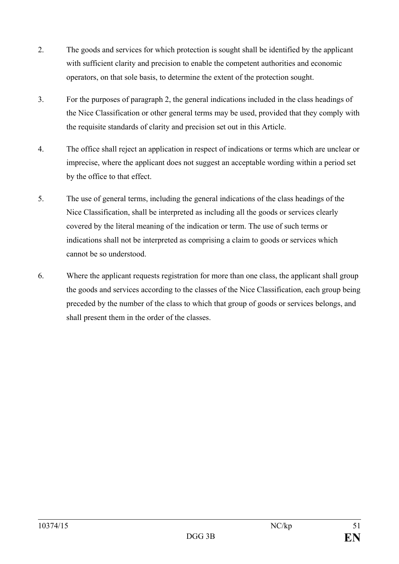- 2. The goods and services for which protection is sought shall be identified by the applicant with sufficient clarity and precision to enable the competent authorities and economic operators, on that sole basis, to determine the extent of the protection sought.
- 3. For the purposes of paragraph 2, the general indications included in the class headings of the Nice Classification or other general terms may be used, provided that they comply with the requisite standards of clarity and precision set out in this Article.
- 4. The office shall reject an application in respect of indications or terms which are unclear or imprecise, where the applicant does not suggest an acceptable wording within a period set by the office to that effect.
- 5. The use of general terms, including the general indications of the class headings of the Nice Classification, shall be interpreted as including all the goods or services clearly covered by the literal meaning of the indication or term. The use of such terms or indications shall not be interpreted as comprising a claim to goods or services which cannot be so understood.
- 6. Where the applicant requests registration for more than one class, the applicant shall group the goods and services according to the classes of the Nice Classification, each group being preceded by the number of the class to which that group of goods or services belongs, and shall present them in the order of the classes.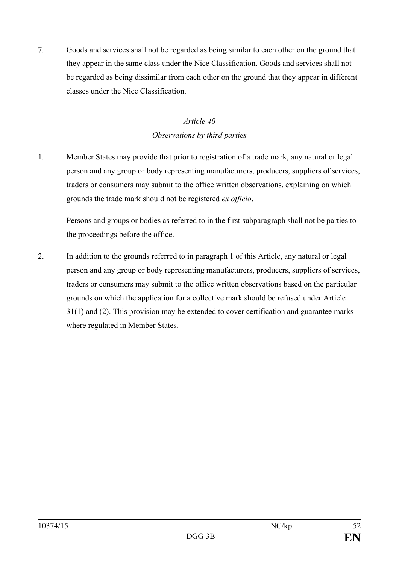7. Goods and services shall not be regarded as being similar to each other on the ground that they appear in the same class under the Nice Classification. Goods and services shall not be regarded as being dissimilar from each other on the ground that they appear in different classes under the Nice Classification.

## *Article 40 Observations by third parties*

1. Member States may provide that prior to registration of a trade mark, any natural or legal person and any group or body representing manufacturers, producers, suppliers of services, traders or consumers may submit to the office written observations, explaining on which grounds the trade mark should not be registered *ex officio*.

Persons and groups or bodies as referred to in the first subparagraph shall not be parties to the proceedings before the office.

2. In addition to the grounds referred to in paragraph 1 of this Article, any natural or legal person and any group or body representing manufacturers, producers, suppliers of services, traders or consumers may submit to the office written observations based on the particular grounds on which the application for a collective mark should be refused under Article 31(1) and (2). This provision may be extended to cover certification and guarantee marks where regulated in Member States.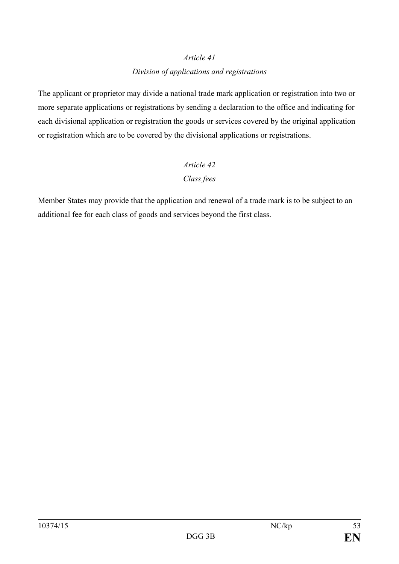## *Division of applications and registrations*

The applicant or proprietor may divide a national trade mark application or registration into two or more separate applications or registrations by sending a declaration to the office and indicating for each divisional application or registration the goods or services covered by the original application or registration which are to be covered by the divisional applications or registrations.

# *Article 42 Class fees*

Member States may provide that the application and renewal of a trade mark is to be subject to an additional fee for each class of goods and services beyond the first class.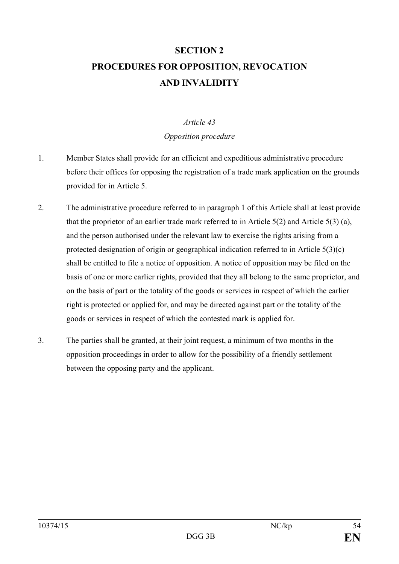# **SECTION 2 PROCEDURES FOR OPPOSITION, REVOCATION AND INVALIDITY**

## *Article 43*

*Opposition procedure*

- 1. Member States shall provide for an efficient and expeditious administrative procedure before their offices for opposing the registration of a trade mark application on the grounds provided for in Article 5.
- 2. The administrative procedure referred to in paragraph 1 of this Article shall at least provide that the proprietor of an earlier trade mark referred to in Article 5(2) and Article 5(3) (a), and the person authorised under the relevant law to exercise the rights arising from a protected designation of origin or geographical indication referred to in Article 5(3)(c) shall be entitled to file a notice of opposition. A notice of opposition may be filed on the basis of one or more earlier rights, provided that they all belong to the same proprietor, and on the basis of part or the totality of the goods or services in respect of which the earlier right is protected or applied for, and may be directed against part or the totality of the goods or services in respect of which the contested mark is applied for.
- 3. The parties shall be granted, at their joint request, a minimum of two months in the opposition proceedings in order to allow for the possibility of a friendly settlement between the opposing party and the applicant.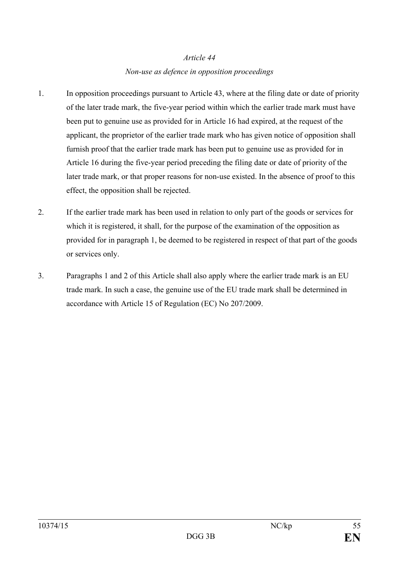# *Article 44 Non-use as defence in opposition proceedings*

- 1. In opposition proceedings pursuant to Article 43, where at the filing date or date of priority of the later trade mark, the five-year period within which the earlier trade mark must have been put to genuine use as provided for in Article 16 had expired, at the request of the applicant, the proprietor of the earlier trade mark who has given notice of opposition shall furnish proof that the earlier trade mark has been put to genuine use as provided for in Article 16 during the five-year period preceding the filing date or date of priority of the later trade mark, or that proper reasons for non-use existed. In the absence of proof to this effect, the opposition shall be rejected.
- 2. If the earlier trade mark has been used in relation to only part of the goods or services for which it is registered, it shall, for the purpose of the examination of the opposition as provided for in paragraph 1, be deemed to be registered in respect of that part of the goods or services only.
- 3. Paragraphs 1 and 2 of this Article shall also apply where the earlier trade mark is an EU trade mark. In such a case, the genuine use of the EU trade mark shall be determined in accordance with Article 15 of Regulation (EC) No 207/2009.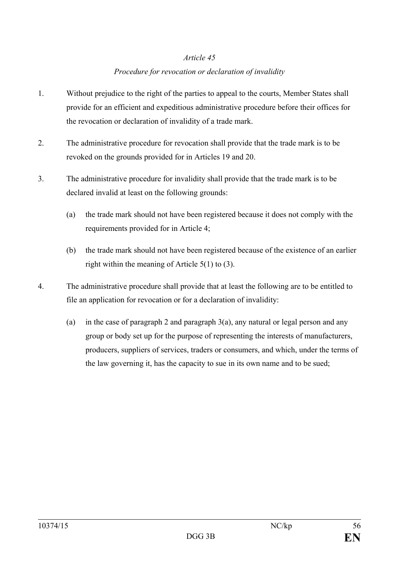## *Procedure for revocation or declaration of invalidity*

- 1. Without prejudice to the right of the parties to appeal to the courts, Member States shall provide for an efficient and expeditious administrative procedure before their offices for the revocation or declaration of invalidity of a trade mark.
- 2. The administrative procedure for revocation shall provide that the trade mark is to be revoked on the grounds provided for in Articles 19 and 20.
- 3. The administrative procedure for invalidity shall provide that the trade mark is to be declared invalid at least on the following grounds:
	- (a) the trade mark should not have been registered because it does not comply with the requirements provided for in Article 4;
	- (b) the trade mark should not have been registered because of the existence of an earlier right within the meaning of Article 5(1) to (3).
- 4. The administrative procedure shall provide that at least the following are to be entitled to file an application for revocation or for a declaration of invalidity:
	- (a) in the case of paragraph 2 and paragraph  $3(a)$ , any natural or legal person and any group or body set up for the purpose of representing the interests of manufacturers, producers, suppliers of services, traders or consumers, and which, under the terms of the law governing it, has the capacity to sue in its own name and to be sued;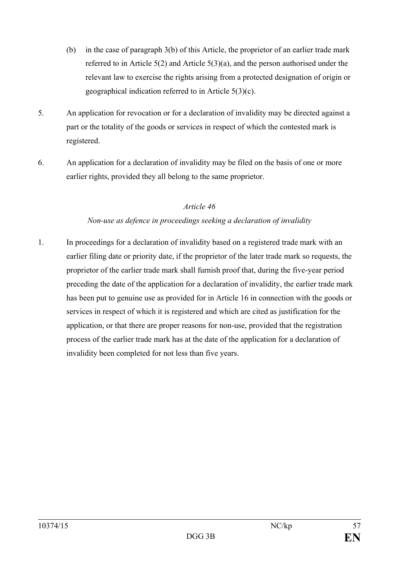- (b) in the case of paragraph 3(b) of this Article, the proprietor of an earlier trade mark referred to in Article 5(2) and Article 5(3)(a), and the person authorised under the relevant law to exercise the rights arising from a protected designation of origin or geographical indication referred to in Article 5(3)(c).
- 5. An application for revocation or for a declaration of invalidity may be directed against a part or the totality of the goods or services in respect of which the contested mark is registered.
- 6. An application for a declaration of invalidity may be filed on the basis of one or more earlier rights, provided they all belong to the same proprietor.

### *Non-use as defence in proceedings seeking a declaration of invalidity*

1. In proceedings for a declaration of invalidity based on a registered trade mark with an earlier filing date or priority date, if the proprietor of the later trade mark so requests, the proprietor of the earlier trade mark shall furnish proof that, during the five-year period preceding the date of the application for a declaration of invalidity, the earlier trade mark has been put to genuine use as provided for in Article 16 in connection with the goods or services in respect of which it is registered and which are cited as justification for the application, or that there are proper reasons for non-use, provided that the registration process of the earlier trade mark has at the date of the application for a declaration of invalidity been completed for not less than five years.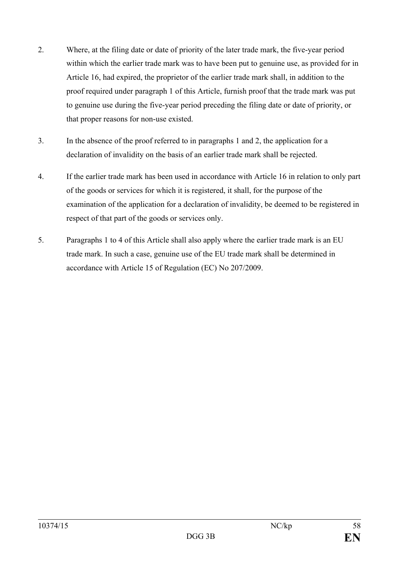- 2. Where, at the filing date or date of priority of the later trade mark, the five-year period within which the earlier trade mark was to have been put to genuine use, as provided for in Article 16, had expired, the proprietor of the earlier trade mark shall, in addition to the proof required under paragraph 1 of this Article, furnish proof that the trade mark was put to genuine use during the five-year period preceding the filing date or date of priority, or that proper reasons for non-use existed.
- 3. In the absence of the proof referred to in paragraphs 1 and 2, the application for a declaration of invalidity on the basis of an earlier trade mark shall be rejected.
- 4. If the earlier trade mark has been used in accordance with Article 16 in relation to only part of the goods or services for which it is registered, it shall, for the purpose of the examination of the application for a declaration of invalidity, be deemed to be registered in respect of that part of the goods or services only.
- 5. Paragraphs 1 to 4 of this Article shall also apply where the earlier trade mark is an EU trade mark. In such a case, genuine use of the EU trade mark shall be determined in accordance with Article 15 of Regulation (EC) No 207/2009.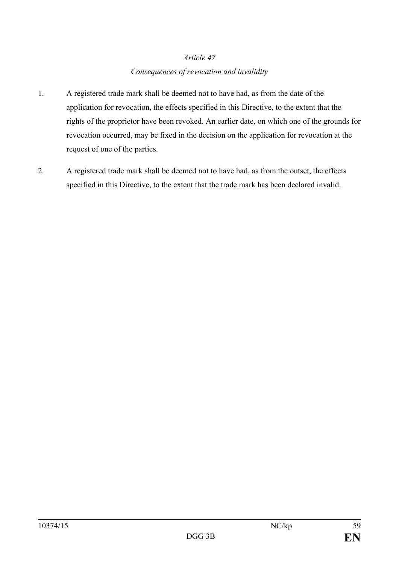# *Article 47 Consequences of revocation and invalidity*

- 1. A registered trade mark shall be deemed not to have had, as from the date of the application for revocation, the effects specified in this Directive, to the extent that the rights of the proprietor have been revoked. An earlier date, on which one of the grounds for revocation occurred, may be fixed in the decision on the application for revocation at the request of one of the parties.
- 2. A registered trade mark shall be deemed not to have had, as from the outset, the effects specified in this Directive, to the extent that the trade mark has been declared invalid.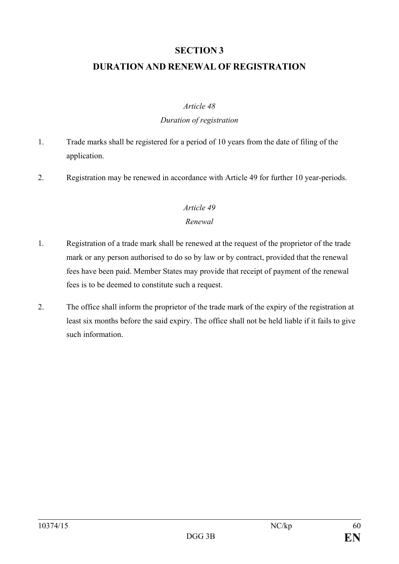## **SECTION 3**

## **DURATION AND RENEWAL OF REGISTRATION**

#### *Article 48*

#### *Duration of registration*

- 1. Trade marks shall be registered for a period of 10 years from the date of filing of the application.
- 2. Registration may be renewed in accordance with Article 49 for further 10 year-periods.

## *Article 49*

## *Renewal*

- 1. Registration of a trade mark shall be renewed at the request of the proprietor of the trade mark or any person authorised to do so by law or by contract, provided that the renewal fees have been paid. Member States may provide that receipt of payment of the renewal fees is to be deemed to constitute such a request.
- 2. The office shall inform the proprietor of the trade mark of the expiry of the registration at least six months before the said expiry. The office shall not be held liable if it fails to give such information.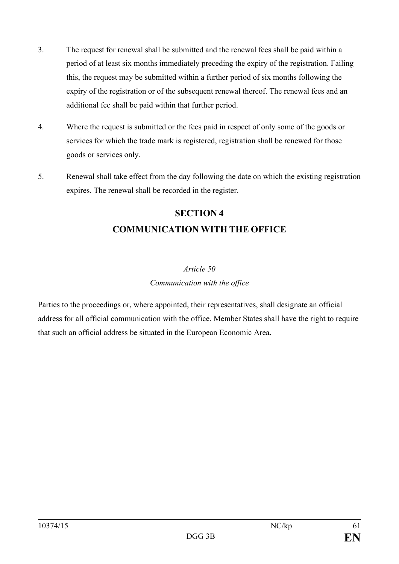- 3. The request for renewal shall be submitted and the renewal fees shall be paid within a period of at least six months immediately preceding the expiry of the registration. Failing this, the request may be submitted within a further period of six months following the expiry of the registration or of the subsequent renewal thereof. The renewal fees and an additional fee shall be paid within that further period.
- 4. Where the request is submitted or the fees paid in respect of only some of the goods or services for which the trade mark is registered, registration shall be renewed for those goods or services only.
- 5. Renewal shall take effect from the day following the date on which the existing registration expires. The renewal shall be recorded in the register.

# **SECTION 4 COMMUNICATION WITH THE OFFICE**

# *Article 50 Communication with the office*

Parties to the proceedings or, where appointed, their representatives, shall designate an official address for all official communication with the office. Member States shall have the right to require that such an official address be situated in the European Economic Area.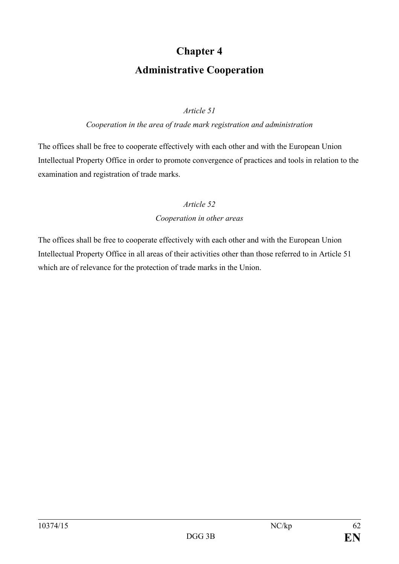# **Chapter 4 Administrative Cooperation**

#### *Article 51*

#### *Cooperation in the area of trade mark registration and administration*

The offices shall be free to cooperate effectively with each other and with the European Union Intellectual Property Office in order to promote convergence of practices and tools in relation to the examination and registration of trade marks.

#### *Article 52*

#### *Cooperation in other areas*

The offices shall be free to cooperate effectively with each other and with the European Union Intellectual Property Office in all areas of their activities other than those referred to in Article 51 which are of relevance for the protection of trade marks in the Union.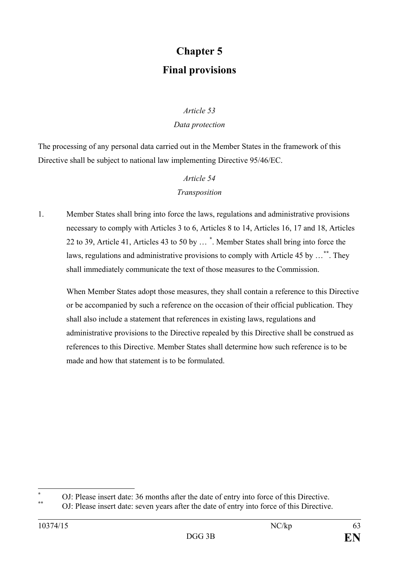# **Chapter 5 Final provisions**

## *Article 53*

## *Data protection*

The processing of any personal data carried out in the Member States in the framework of this Directive shall be subject to national law implementing Directive 95/46/EC.

# *Article 54 Transposition*

1. Member States shall bring into force the laws, regulations and administrative provisions necessary to comply with Articles 3 to 6, Articles 8 to 14, Articles 16, 17 and 18, Articles 22 to 39, Article 41, Articles 43 to 50 by … **[\\*](#page-63-0)** . Member States shall bring into force the laws, regulations and administrative provisions to comply with Article 45 by …**[\\*\\*](#page-63-1)**. They shall immediately communicate the text of those measures to the Commission.

When Member States adopt those measures, they shall contain a reference to this Directive or be accompanied by such a reference on the occasion of their official publication. They shall also include a statement that references in existing laws, regulations and administrative provisions to the Directive repealed by this Directive shall be construed as references to this Directive. Member States shall determine how such reference is to be made and how that statement is to be formulated.

<span id="page-63-0"></span><sup>&</sup>lt;sup>\*</sup> OJ: Please insert date: 36 months after the date of entry into force of this Directive.<br> **b** <sup>\*\*</sup> OJ: Please insert date: seven years after the date of entry into force of this Directive.

<span id="page-63-1"></span>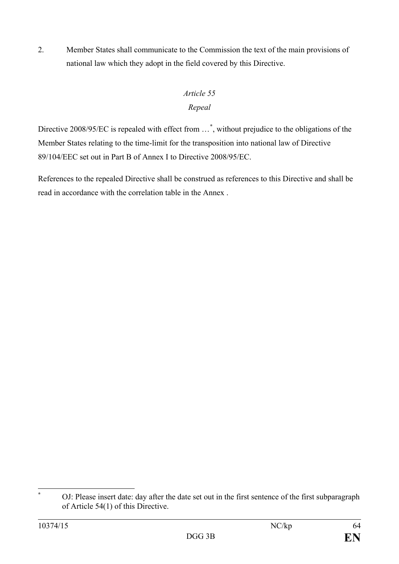2. Member States shall communicate to the Commission the text of the main provisions of national law which they adopt in the field covered by this Directive.

# *Article 55 Repeal*

Directive 2008/95/EC is repealed with effect from …**[\\*](#page-64-0)** , without prejudice to the obligations of the Member States relating to the time-limit for the transposition into national law of Directive 89/104/EEC set out in Part B of Annex I to Directive 2008/95/EC.

References to the repealed Directive shall be construed as references to this Directive and shall be read in accordance with the correlation table in the Annex .

<span id="page-64-0"></span>**\*** OJ: Please insert date: day after the date set out in the first sentence of the first subparagraph of Article 54(1) of this Directive.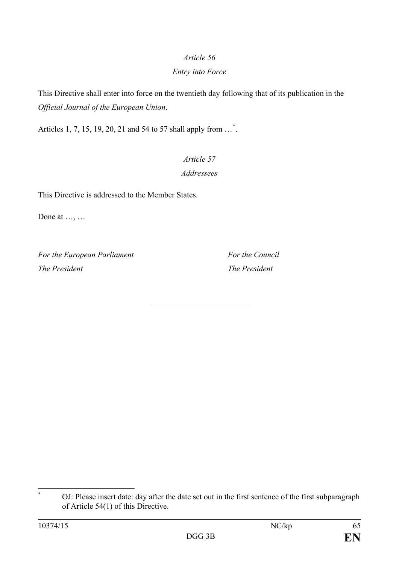#### *Entry into Force*

This Directive shall enter into force on the twentieth day following that of its publication in the *Official Journal of the European Union*.

Articles 1, 7, 15, 19, 20, 21 and 54 to 57 shall apply from …**[\\*](#page-65-0)** .

# *Article 57*

### *Addressees*

This Directive is addressed to the Member States.

Done at …, …

*For the European Parliament For the Council The President The President*

<span id="page-65-0"></span>**\*** OJ: Please insert date: day after the date set out in the first sentence of the first subparagraph of Article 54(1) of this Directive.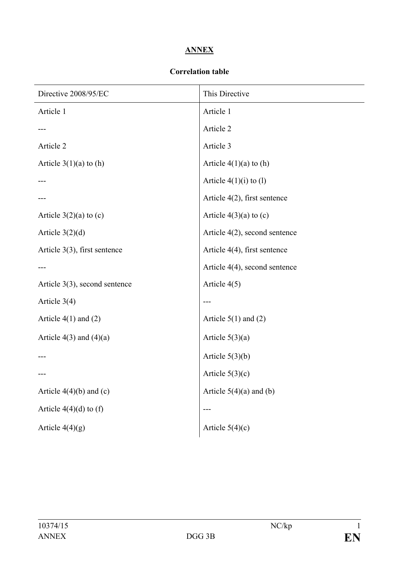## **ANNEX**

## **Correlation table**

| Directive 2008/95/EC             | This Directive                   |
|----------------------------------|----------------------------------|
| Article 1                        | Article 1                        |
|                                  | Article 2                        |
| Article 2                        | Article 3                        |
| Article $3(1)(a)$ to (h)         | Article $4(1)(a)$ to (h)         |
|                                  | Article $4(1)(i)$ to $(l)$       |
|                                  | Article $4(2)$ , first sentence  |
| Article $3(2)(a)$ to (c)         | Article $4(3)(a)$ to (c)         |
| Article $3(2)(d)$                | Article $4(2)$ , second sentence |
| Article $3(3)$ , first sentence  | Article $4(4)$ , first sentence  |
| ---                              | Article 4(4), second sentence    |
| Article $3(3)$ , second sentence | Article $4(5)$                   |
| Article $3(4)$                   |                                  |
| Article $4(1)$ and $(2)$         | Article $5(1)$ and $(2)$         |
| Article $4(3)$ and $(4)(a)$      | Article $5(3)(a)$                |
|                                  | Article $5(3)(b)$                |
|                                  | Article $5(3)(c)$                |
| Article $4(4)(b)$ and (c)        | Article $5(4)(a)$ and (b)        |
| Article $4(4)(d)$ to (f)         |                                  |
| Article $4(4)(g)$                | Article $5(4)(c)$                |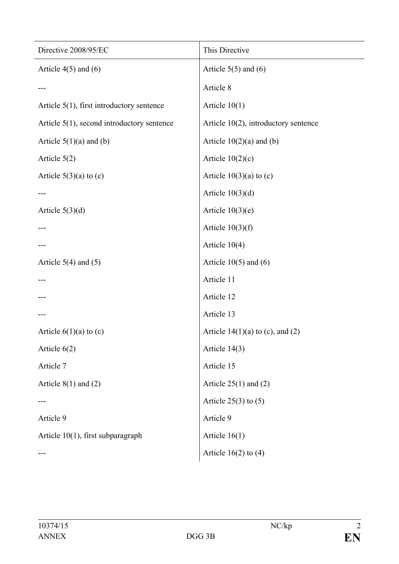| Directive 2008/95/EC                          | This Directive                          |
|-----------------------------------------------|-----------------------------------------|
| Article $4(5)$ and $(6)$                      | Article $5(5)$ and $(6)$                |
| ---                                           | Article 8                               |
| Article $5(1)$ , first introductory sentence  | Article $10(1)$                         |
| Article $5(1)$ , second introductory sentence | Article $10(2)$ , introductory sentence |
| Article $5(1)(a)$ and (b)                     | Article $10(2)(a)$ and (b)              |
| Article $5(2)$                                | Article $10(2)(c)$                      |
| Article $5(3)(a)$ to (c)                      | Article $10(3)(a)$ to (c)               |
| ---                                           | Article $10(3)(d)$                      |
| Article $5(3)(d)$                             | Article $10(3)(e)$                      |
|                                               | Article $10(3)(f)$                      |
| ---                                           | Article $10(4)$                         |
| Article $5(4)$ and $(5)$                      | Article $10(5)$ and $(6)$               |
|                                               | Article 11                              |
|                                               | Article 12                              |
|                                               | Article 13                              |
| Article $6(1)(a)$ to (c)                      | Article $14(1)(a)$ to (c), and (2)      |
| Article $6(2)$                                | Article $14(3)$                         |
| Article 7                                     | Article 15                              |
| Article $8(1)$ and $(2)$                      | Article $25(1)$ and $(2)$               |
|                                               | Article $25(3)$ to $(5)$                |
| Article 9                                     | Article 9                               |
| Article $10(1)$ , first subparagraph          | Article $16(1)$                         |
|                                               | Article $16(2)$ to $(4)$                |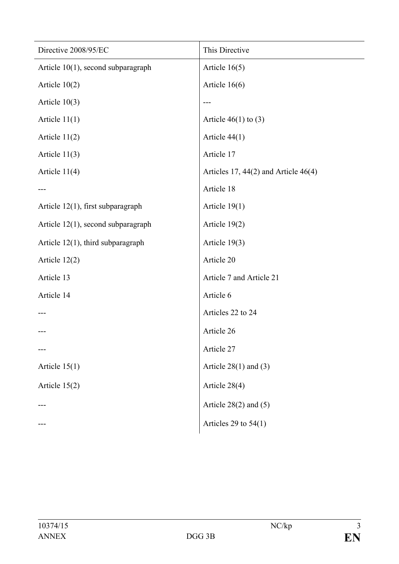| Directive 2008/95/EC                  | This Directive                             |
|---------------------------------------|--------------------------------------------|
| Article $10(1)$ , second subparagraph | Article $16(5)$                            |
| Article $10(2)$                       | Article $16(6)$                            |
| Article $10(3)$                       |                                            |
| Article $11(1)$                       | Article $46(1)$ to $(3)$                   |
| Article $11(2)$                       | Article $44(1)$                            |
| Article $11(3)$                       | Article 17                                 |
| Article $11(4)$                       | Articles 17, 44 $(2)$ and Article 46 $(4)$ |
| ---                                   | Article 18                                 |
| Article $12(1)$ , first subparagraph  | Article $19(1)$                            |
| Article $12(1)$ , second subparagraph | Article $19(2)$                            |
| Article $12(1)$ , third subparagraph  | Article $19(3)$                            |
| Article $12(2)$                       | Article 20                                 |
| Article 13                            | Article 7 and Article 21                   |
| Article 14                            | Article 6                                  |
|                                       | Articles 22 to 24                          |
|                                       | Article 26                                 |
|                                       | Article 27                                 |
| Article $15(1)$                       | Article $28(1)$ and $(3)$                  |
| Article $15(2)$                       | Article 28(4)                              |
|                                       | Article $28(2)$ and $(5)$                  |
|                                       | Articles 29 to $54(1)$                     |
|                                       |                                            |